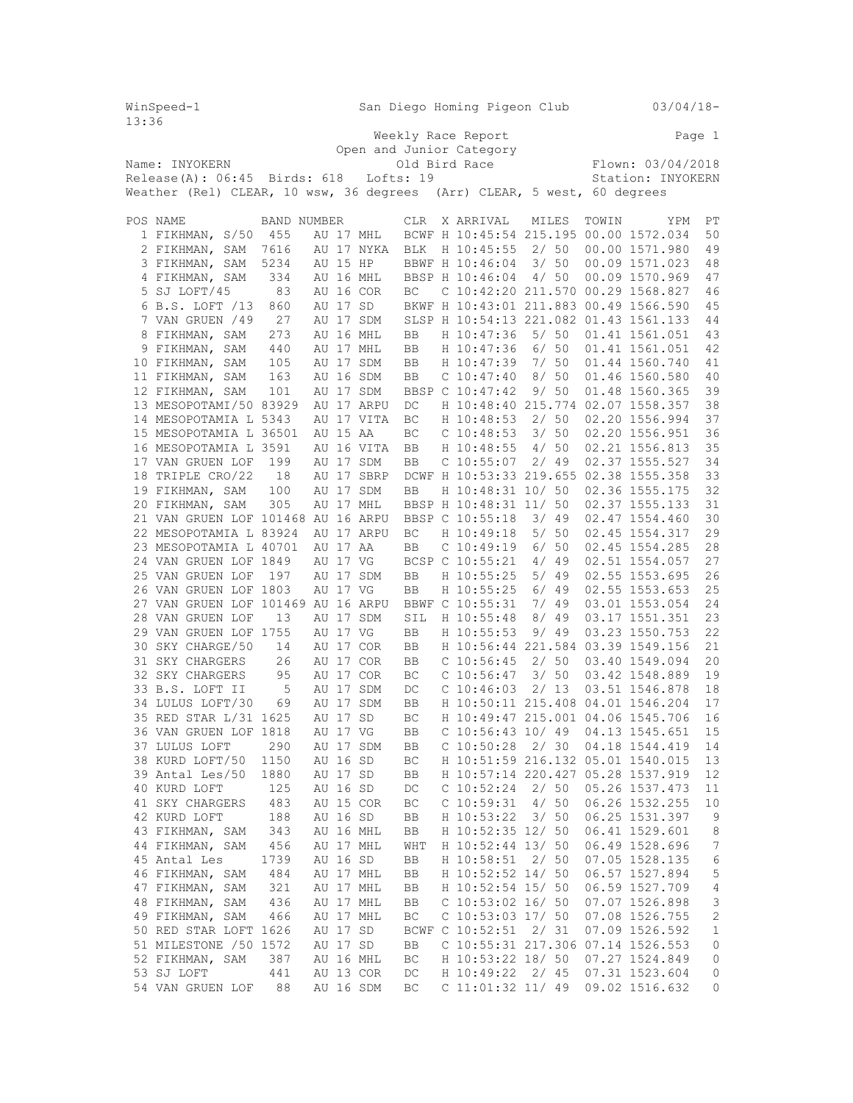| 13:36 | WinSpeed-1                                                              |             |          |          |                       |                        | San Diego Homing Pigeon Club  |              | $03/04/18-$                                         |                         |
|-------|-------------------------------------------------------------------------|-------------|----------|----------|-----------------------|------------------------|-------------------------------|--------------|-----------------------------------------------------|-------------------------|
|       |                                                                         |             |          |          |                       |                        | Weekly Race Report            |              | Page 1                                              |                         |
|       |                                                                         |             |          |          |                       |                        | Open and Junior Category      |              |                                                     |                         |
|       | Name: INYOKERN                                                          |             |          |          |                       |                        | Old Bird Race                 |              | Flown: 03/04/2018                                   |                         |
|       | $Release(A): 06:45$ Birds: 618                                          |             |          |          |                       | Lofts: 19              |                               |              | Station: INYOKERN                                   |                         |
|       | Weather (Rel) CLEAR, 10 wsw, 36 degrees (Arr) CLEAR, 5 west, 60 degrees |             |          |          |                       |                        |                               |              |                                                     |                         |
|       | POS NAME                                                                | BAND NUMBER |          |          |                       | <b>CLR</b>             | X ARRIVAL                     | MILES        | TOWIN<br>YPM                                        | PT                      |
|       | 1 FIKHMAN, S/50                                                         | 455         |          |          | AU 17 MHL             |                        |                               |              | BCWF H 10:45:54 215.195 00.00 1572.034              | 50                      |
|       | 2 FIKHMAN, SAM                                                          | 7616        |          |          | AU 17 NYKA            | <b>BLK</b>             | H 10:45:55                    | 2/50         | 00.00 1571.980                                      | 49                      |
|       | 3 FIKHMAN, SAM                                                          | 5234        |          | AU 15 HP |                       |                        | BBWF H 10:46:04               | 3/50         | 00.09 1571.023                                      | 48                      |
|       | 4 FIKHMAN, SAM                                                          | 334         |          |          | AU 16 MHL             |                        | BBSP H 10:46:04               | 4/50         | 00.09 1570.969                                      | 47                      |
|       | 5 SJ LOFT/45                                                            | 83          |          |          | AU 16 COR             | BC                     |                               |              | C 10:42:20 211.570 00.29 1568.827                   | 46                      |
|       | 6 B.S. LOFT /13                                                         | 860         |          | AU 17 SD |                       |                        |                               |              | BKWF H 10:43:01 211.883 00.49 1566.590              | 45                      |
|       | 7 VAN GRUEN /49                                                         | 27          |          |          | AU 17 SDM             |                        |                               |              | SLSP H 10:54:13 221.082 01.43 1561.133              | 44                      |
|       | 8 FIKHMAN, SAM                                                          | 273         |          |          | AU 16 MHL             | BB                     | H 10:47:36                    | 5/50         | 01.41 1561.051                                      | 43                      |
|       | 9 FIKHMAN, SAM                                                          | 440         |          |          | AU 17 MHL             | BB                     | H 10:47:36                    | $6/50$       | 01.41 1561.051                                      | 42                      |
|       | 10 FIKHMAN, SAM                                                         | 105         |          |          | AU 17 SDM             | BB                     | H 10:47:39                    | 7/ 50        | 01.44 1560.740                                      | 41                      |
|       | 11 FIKHMAN, SAM                                                         | 163         |          |          | AU 16 SDM             | BB                     | $C$ 10:47:40                  | 8/ 50        | 01.46 1560.580                                      | 40                      |
|       | 12 FIKHMAN, SAM                                                         | 101         |          |          | AU 17 SDM             |                        | BBSP C 10:47:42               | 9/50         | 01.48 1560.365                                      | 39                      |
|       | 13 MESOPOTAMI/50 83929                                                  |             |          |          | AU 17 ARPU            | DC                     |                               |              | H 10:48:40 215.774 02.07 1558.357                   | 38                      |
|       | 14 MESOPOTAMIA L 5343                                                   |             |          |          | AU 17 VITA            | BC                     | H 10:48:53                    | 2/50         | 02.20 1556.994                                      | 37                      |
|       | 15 MESOPOTAMIA L 36501                                                  |             |          | AU 15 AA |                       | BC                     | $C$ 10:48:53                  | 3/50         | 02.20 1556.951                                      | 36                      |
|       | 16 MESOPOTAMIA L 3591                                                   |             |          |          | AU 16 VITA            | BB                     | H 10:48:55                    | 4/50         | 02.21 1556.813                                      | 35                      |
|       | 17 VAN GRUEN LOF                                                        | 199         |          |          | AU 17 SDM             | BB                     | $C$ 10:55:07                  | 2/49         | 02.37 1555.527                                      | 34                      |
|       | 18 TRIPLE CRO/22                                                        | 18          |          |          | AU 17 SBRP            |                        |                               |              | DCWF H 10:53:33 219.655 02.38 1555.358              | 33                      |
|       | 19 FIKHMAN, SAM                                                         | 100         |          |          | AU 17 SDM             | BB                     | H 10:48:31 10/ 50             |              | 02.36 1555.175                                      | 32                      |
|       | 20 FIKHMAN, SAM                                                         | 305         |          |          | AU 17 MHL             |                        | BBSP H 10:48:31 11/ 50        |              | 02.37 1555.133                                      | 31                      |
|       | 21 VAN GRUEN LOF 101468 AU 16 ARPU                                      |             |          |          |                       |                        | BBSP C 10:55:18               | 3/ 49        | 02.47 1554.460                                      | 30                      |
|       | 22 MESOPOTAMIA L 83924                                                  |             |          |          | AU 17 ARPU            | BC                     | H 10:49:18                    | 5/50         | 02.45 1554.317                                      | 29                      |
|       | 23 MESOPOTAMIA L 40701                                                  |             |          | AU 17 AA |                       | BB                     | $C$ 10:49:19                  | 6/50         | 02.45 1554.285                                      | 28                      |
|       | 24 VAN GRUEN LOF 1849                                                   |             |          | AU 17 VG |                       |                        | BCSP C 10:55:21               | 4/49         | 02.51 1554.057                                      | 27                      |
|       | 25 VAN GRUEN LOF                                                        | 197         |          |          | AU 17 SDM             | BB                     | H 10:55:25                    | 5/ 49        | 02.55 1553.695                                      | 26                      |
|       | 26 VAN GRUEN LOF 1803<br>27 VAN GRUEN LOF 101469 AU 16 ARPU             |             |          | AU 17 VG |                       | BB                     | H 10:55:25<br>BBWF C 10:55:31 | 6/49<br>7/99 | 02.55 1553.653<br>03.01 1553.054                    | 25<br>24                |
|       | 28 VAN GRUEN LOF                                                        | 13          |          |          | AU 17 SDM             | SIL                    | H 10:55:48                    | 8/49         | 03.17 1551.351                                      | 23                      |
|       | 29 VAN GRUEN LOF 1755                                                   |             |          | AU 17 VG |                       | BB                     | H 10:55:53                    | 9/49         | 03.23 1550.753                                      | 22                      |
|       | 30 SKY CHARGE/50                                                        | 14          |          |          | AU 17 COR             | BB                     |                               |              | H 10:56:44 221.584 03.39 1549.156                   | 21                      |
|       | 31 SKY CHARGERS                                                         | 26          |          |          | AU 17 COR             | BB                     | $C$ 10:56:45                  | 2/50         | 03.40 1549.094                                      | 20                      |
|       | 32 SKY CHARGERS                                                         | 95          |          |          | AU 17 COR             | ВC                     | $C$ 10:56:47                  | 3/50         | 03.42 1548.889                                      | 19                      |
|       | 33 B.S. LOFT II                                                         | $-5$        |          |          | AU 17 SDM             | DC                     | $C$ 10:46:03                  | 2/13         | 03.51 1546.878                                      | 18                      |
|       | 34 LULUS LOFT/30                                                        | 69          |          |          | AU 17 SDM             | BB                     |                               |              | H 10:50:11 215.408 04.01 1546.204                   | 17                      |
|       | 35 RED STAR L/31 1625                                                   |             |          | AU 17 SD |                       | $\mathbb{B}\mathbb{C}$ |                               |              | H 10:49:47 215.001 04.06 1545.706                   | 16                      |
|       | 36 VAN GRUEN LOF 1818                                                   |             | AU 17 VG |          |                       | BB                     |                               |              | C $10:56:43$ $10/49$ 04.13 1545.651                 | 15                      |
|       | 37 LULUS LOFT 290                                                       |             |          |          | AU 17 SDM             | BB                     |                               |              | C 10:50:28 2/ 30 04.18 1544.419                     | 14                      |
|       | 38 KURD LOFT/50 1150                                                    |             |          | AU 16 SD |                       | BC                     |                               |              | H 10:51:59 216.132 05.01 1540.015                   | 13                      |
|       | 39 Antal Les/50 1880                                                    |             |          | AU 17 SD |                       | BB                     |                               |              | H 10:57:14 220.427 05.28 1537.919                   | 12                      |
|       | 40 KURD LOFT                                                            | 125         |          | AU 16 SD |                       | DC                     |                               |              | C 10:52:24 2/ 50 05.26 1537.473                     | 11                      |
|       | 41 SKY CHARGERS 483                                                     |             |          |          | AU 15 COR             | BC                     | $C$ 10:59:31 4/50             |              | 06.26 1532.255                                      | 10                      |
|       | 42 KURD LOFT                                                            | 188         |          |          | AU 16 SD              | BB                     | H 10:53:22 3/ 50              |              | 06.25 1531.397                                      | - 9                     |
|       | 43 FIKHMAN, SAM 343                                                     |             |          |          | AU 16 MHL             | BB                     | H 10:52:35 12/ 50             |              | 06.41 1529.601                                      | 8                       |
|       | 44 FIKHMAN, SAM 456                                                     |             |          |          | AU 17 MHL             | WHT                    | H 10:52:44 13/ 50             |              | 06.49 1528.696                                      | $7\phantom{.0}$         |
|       | 45 Antal Les                                                            | 1739        |          |          | AU 16 SD              | BB                     | H 10:58:51 2/ 50              |              | 07.05 1528.135                                      | $\epsilon$              |
|       | 46 FIKHMAN, SAM 484                                                     |             |          |          | AU 17 MHL             | BB                     | H 10:52:52 14/ 50             |              | 06.57 1527.894                                      | 5                       |
|       | 47 FIKHMAN, SAM 321                                                     |             |          |          | AU 17 MHL             | BB                     | H 10:52:54 15/ 50             |              | 06.59 1527.709                                      | $\sqrt{4}$              |
|       | 48 FIKHMAN, SAM 436                                                     |             |          |          | AU 17 MHL             | BB                     | $C$ 10:53:02 16/50            |              | 07.07 1526.898                                      | 3                       |
|       | 49 FIKHMAN, SAM 466                                                     |             |          |          | AU 17 MHL             | ВC                     | C $10:53:03$ $17/50$          |              | 07.08 1526.755                                      | $\mathbf{2}$            |
|       | 50 RED STAR LOFT 1626<br>51 MILESTONE / 50 1572                         |             | AU 17 SD |          |                       |                        | BCWF C 10:52:51 2/ 31         |              | 07.09 1526.592<br>C 10:55:31 217.306 07.14 1526.553 | $\mathbf{1}$<br>$\circ$ |
|       | 52 FIKHMAN, SAM                                                         | 387         |          |          | AU 17 SD<br>AU 16 MHL | BB<br>BC               | H 10:53:22 18/ 50             |              | 07.27 1524.849                                      | $\circ$                 |
|       | 53 SJ LOFT<br>441                                                       |             |          |          | AU 13 COR             | DC                     |                               |              | H 10:49:22 2/ 45 07.31 1523.604                     | 0                       |
|       | 54 VAN GRUEN LOF 88                                                     |             |          |          | AU 16 SDM             | BC                     |                               |              | C 11:01:32 11/ 49 09.02 1516.632                    | 0                       |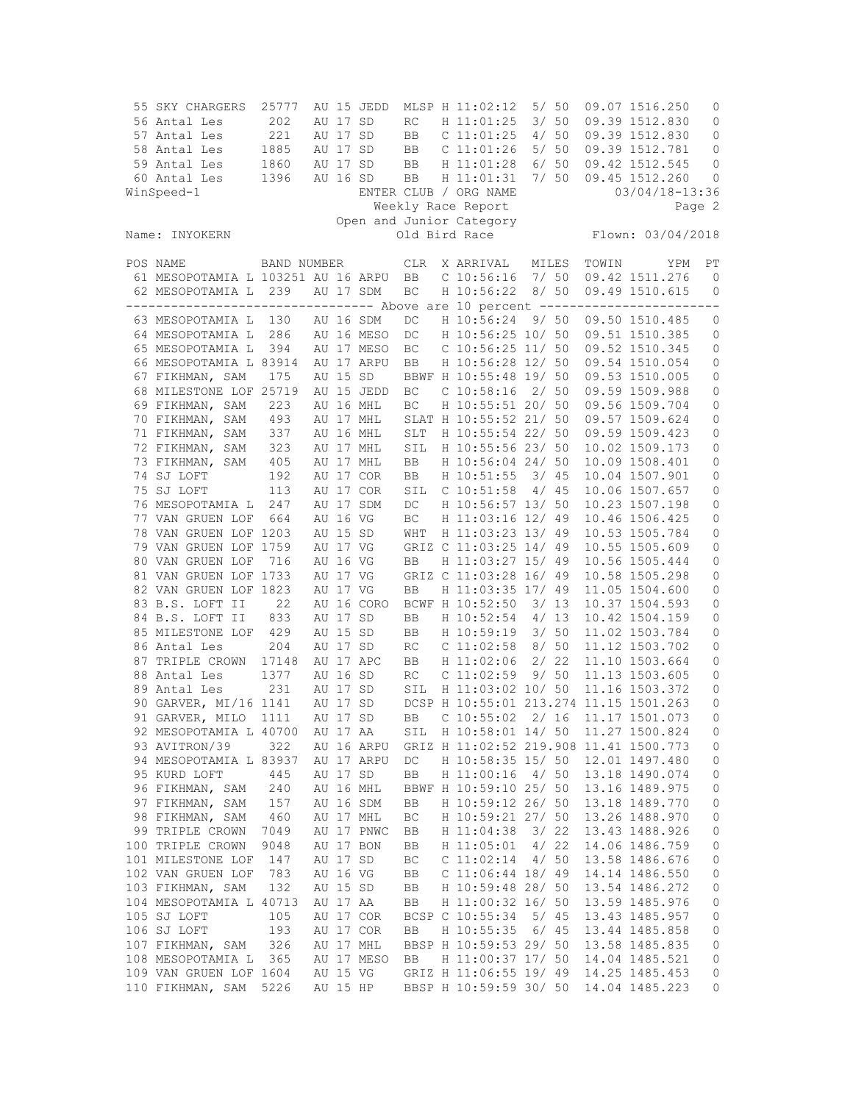| 55 SKY CHARGERS<br>56 Antal Les<br>57 Antal Les<br>58 Antal Les<br>59 Antal Les<br>60 Antal Les<br>WinSpeed-1 | 25777<br>202<br>221<br>1885<br>1860<br>1396 | AU 17 SD<br>AU 17 SD<br>AU 17 SD<br>AU 17 SD<br>AU 16 SD | AU 15 JEDD              | RC<br>BB<br>BB<br>BB<br>BB | MLSP H 11:02:12<br>H 11:01:25<br>$C$ 11:01:25<br>$C$ 11:01:26<br>H 11:01:28<br>H 11:01:31<br>ENTER CLUB / ORG NAME<br>Weekly Race Report | 5/50<br>3/50<br>4/50<br>5/50<br>6/50 | 7/50 |       | 09.07 1516.250<br>09.39 1512.830<br>09.39 1512.830<br>09.39 1512.781<br>09.42 1512.545<br>09.45 1512.260<br>03/04/18-13:36 | 0<br>0<br>0<br>0<br>0<br>0<br>Page 2 |
|---------------------------------------------------------------------------------------------------------------|---------------------------------------------|----------------------------------------------------------|-------------------------|----------------------------|------------------------------------------------------------------------------------------------------------------------------------------|--------------------------------------|------|-------|----------------------------------------------------------------------------------------------------------------------------|--------------------------------------|
| Name: INYOKERN                                                                                                |                                             |                                                          |                         |                            | Open and Junior Category<br>Old Bird Race                                                                                                |                                      |      |       | Flown: 03/04/2018                                                                                                          |                                      |
| POS NAME                                                                                                      | BAND NUMBER                                 |                                                          |                         | <b>CLR</b>                 | X ARRIVAL                                                                                                                                | MILES                                |      | TOWIN | YPM                                                                                                                        | РT                                   |
| 61 MESOPOTAMIA L 103251 AU 16 ARPU                                                                            |                                             |                                                          |                         | BB                         | $C$ 10:56:16                                                                                                                             | 7/ 50                                |      |       | 09.42 1511.276                                                                                                             | $\mathbf 0$                          |
| 62 MESOPOTAMIA L                                                                                              | 239                                         |                                                          | AU 17 SDM               | BC                         | H 10:56:22                                                                                                                               |                                      | 8/50 |       | 09.49 1510.615                                                                                                             | 0                                    |
| -------------------------------- Above are 10 percent ------------------------                                |                                             |                                                          |                         |                            |                                                                                                                                          |                                      |      |       |                                                                                                                            |                                      |
| 63 MESOPOTAMIA L<br>64 MESOPOTAMIA L                                                                          | 130<br>286                                  |                                                          | AU 16 SDM<br>AU 16 MESO | DC<br>DC                   | H 10:56:24<br>H 10:56:25 10/ 50                                                                                                          | 9/50                                 |      |       | 09.50 1510.485<br>09.51 1510.385                                                                                           | 0<br>0                               |
| 65 MESOPOTAMIA L                                                                                              | 394                                         |                                                          | AU 17 MESO              | BC                         | $C$ 10:56:25 11/ 50                                                                                                                      |                                      |      |       | 09.52 1510.345                                                                                                             | 0                                    |
| 66 MESOPOTAMIA L 83914                                                                                        |                                             |                                                          | AU 17 ARPU              | BB                         | H 10:56:28 12/ 50                                                                                                                        |                                      |      |       | 09.54 1510.054                                                                                                             | 0                                    |
| 67 FIKHMAN, SAM                                                                                               | 175                                         | AU 15 SD                                                 |                         |                            | BBWF H 10:55:48 19/ 50                                                                                                                   |                                      |      |       | 09.53 1510.005                                                                                                             | 0                                    |
| 68 MILESTONE LOF 25719                                                                                        |                                             |                                                          | AU 15 JEDD              | ВC                         | $C$ 10:58:16                                                                                                                             | 2/50                                 |      |       | 09.59 1509.988                                                                                                             | 0                                    |
| 69 FIKHMAN, SAM                                                                                               | 223                                         |                                                          | AU 16 MHL               | BC                         | H 10:55:51 20/ 50                                                                                                                        |                                      |      |       | 09.56 1509.704                                                                                                             | $\mathbb O$                          |
| 70 FIKHMAN, SAM                                                                                               | 493                                         |                                                          | AU 17 MHL               |                            | SLAT H 10:55:52 21/ 50                                                                                                                   |                                      |      |       | 09.57 1509.624                                                                                                             | 0                                    |
| 71 FIKHMAN, SAM                                                                                               | 337                                         |                                                          | AU 16 MHL               | SLT                        | H 10:55:54 22/ 50                                                                                                                        |                                      |      |       | 09.59 1509.423                                                                                                             | $\mathbb O$                          |
| 72 FIKHMAN, SAM                                                                                               | 323                                         |                                                          | AU 17 MHL               | SIL                        | H 10:55:56 23/ 50                                                                                                                        |                                      |      |       | 10.02 1509.173                                                                                                             | 0                                    |
| 73 FIKHMAN, SAM                                                                                               | 405                                         |                                                          | AU 17 MHL               | BB                         | H 10:56:04 24/ 50                                                                                                                        |                                      |      |       | 10.09 1508.401                                                                                                             | 0                                    |
| 74 SJ LOFT                                                                                                    | 192                                         |                                                          | AU 17 COR               | <b>BB</b>                  | H 10:51:55                                                                                                                               | 3/45                                 |      |       | 10.04 1507.901                                                                                                             | $\mathbb O$                          |
| 75 SJ LOFT                                                                                                    | 113                                         |                                                          | AU 17 COR               | SIL                        | $C$ 10:51:58                                                                                                                             | 4/                                   | 45   |       | 10.06 1507.657                                                                                                             | 0                                    |
| 76 MESOPOTAMIA L                                                                                              | 247                                         |                                                          | AU 17 SDM               | DC                         | H 10:56:57 13/ 50                                                                                                                        |                                      |      |       | 10.23 1507.198                                                                                                             | 0                                    |
| 77 VAN GRUEN LOF                                                                                              | 664                                         | AU 16 VG                                                 |                         | ВC                         | H 11:03:16 12/ 49                                                                                                                        |                                      |      |       | 10.46 1506.425                                                                                                             | 0                                    |
| 78 VAN GRUEN LOF 1203                                                                                         |                                             | AU 15 SD                                                 |                         | WHT                        | H 11:03:23 13/ 49                                                                                                                        |                                      |      |       | 10.53 1505.784                                                                                                             | 0                                    |
| 79 VAN GRUEN LOF 1759                                                                                         |                                             | AU 17 VG                                                 |                         |                            | GRIZ C 11:03:25 14/ 49                                                                                                                   |                                      |      |       | 10.55 1505.609                                                                                                             | 0                                    |
| 80 VAN GRUEN LOF                                                                                              | 716                                         | AU 16 VG                                                 |                         | BB                         | H 11:03:27 15/ 49                                                                                                                        |                                      |      |       | 10.56 1505.444                                                                                                             | 0                                    |
| 81 VAN GRUEN LOF 1733                                                                                         |                                             | AU 17 VG                                                 |                         |                            | GRIZ C 11:03:28 16/ 49                                                                                                                   |                                      |      |       | 10.58 1505.298                                                                                                             | $\mathbb O$                          |
| 82 VAN GRUEN LOF 1823                                                                                         |                                             | AU 17 VG                                                 |                         | BB                         | H 11:03:35 17/ 49                                                                                                                        |                                      |      |       | 11.05 1504.600                                                                                                             | 0                                    |
| 83 B.S. LOFT II                                                                                               | 22                                          |                                                          | AU 16 CORO              |                            | BCWF H 10:52:50                                                                                                                          | 3/13                                 |      |       | 10.37 1504.593                                                                                                             | 0                                    |
| 84 B.S. LOFT II                                                                                               | 833                                         | AU 17 SD                                                 |                         | BB                         | H 10:52:54                                                                                                                               | 4/13                                 |      |       | 10.42 1504.159                                                                                                             | $\mathbb O$                          |
| 85 MILESTONE LOF                                                                                              | 429                                         | AU 15 SD                                                 |                         | BB                         | H 10:59:19                                                                                                                               | 3/50                                 |      |       | 11.02 1503.784                                                                                                             | 0                                    |
| 86 Antal Les                                                                                                  | 204                                         | AU 17 SD                                                 |                         | RC                         | $C$ 11:02:58                                                                                                                             | 8/50                                 |      |       | 11.12 1503.702                                                                                                             | 0                                    |
| 87 TRIPLE CROWN                                                                                               | 17148                                       | AU 16 SD                                                 | AU 17 APC               | BB                         | H 11:02:06                                                                                                                               |                                      | 2/22 |       | 11.10 1503.664                                                                                                             | 0                                    |
| 88 Antal Les<br>89 Antal Les                                                                                  | 1377<br>231                                 | AU 17 SD                                                 |                         | RC<br>SIL                  | $C$ 11:02:59<br>H 11:03:02 10/ 50                                                                                                        | 9/                                   | 50   |       | 11.13 1503.605<br>11.16 1503.372                                                                                           | 0<br>0                               |
| 90 GARVER, MI/16 1141                                                                                         |                                             | AU 17 SD                                                 |                         |                            | DCSP H 10:55:01 213.274 11.15 1501.263                                                                                                   |                                      |      |       |                                                                                                                            | 0                                    |
| 91 GARVER, MILO                                                                                               | 1111                                        | AU 17 SD                                                 |                         | <b>BB</b>                  | $C$ 10:55:02                                                                                                                             | 2/16                                 |      |       | 11.17 1501.073                                                                                                             | $\circ$                              |
| 92 MESOPOTAMIA L 40700                                                                                        |                                             | AU 17 AA                                                 |                         |                            | SIL H 10:58:01 14/ 50                                                                                                                    |                                      |      |       | 11.27 1500.824                                                                                                             | 0                                    |
| 93 AVITRON/39                                                                                                 | 322                                         |                                                          | AU 16 ARPU              |                            | GRIZ H 11:02:52 219.908 11.41 1500.773                                                                                                   |                                      |      |       |                                                                                                                            | 0                                    |
| 94 MESOPOTAMIA L 83937                                                                                        |                                             |                                                          | AU 17 ARPU              | DC                         | H 10:58:35 15/ 50                                                                                                                        |                                      |      |       | 12.01 1497.480                                                                                                             | $\mathsf{O}\xspace$                  |
| 95 KURD LOFT                                                                                                  | 445                                         | AU 17 SD                                                 |                         | BB                         | H 11:00:16                                                                                                                               | 4/50                                 |      |       | 13.18 1490.074                                                                                                             | 0                                    |
| 96 FIKHMAN, SAM                                                                                               | 240                                         |                                                          | AU 16 MHL               |                            | BBWF H 10:59:10 25/ 50                                                                                                                   |                                      |      |       | 13.16 1489.975                                                                                                             | $\mathbb O$                          |
| 97 FIKHMAN, SAM                                                                                               | 157                                         |                                                          | AU 16 SDM               | BB                         | H 10:59:12 26/ 50                                                                                                                        |                                      |      |       | 13.18 1489.770                                                                                                             | $\mathbb O$                          |
| 98 FIKHMAN, SAM                                                                                               | 460                                         |                                                          | AU 17 MHL               | ВC                         | H 10:59:21 27/ 50                                                                                                                        |                                      |      |       | 13.26 1488.970                                                                                                             | 0                                    |
| 99 TRIPLE CROWN                                                                                               | 7049                                        |                                                          | AU 17 PNWC              | BB                         | H 11:04:38                                                                                                                               | 3/22                                 |      |       | 13.43 1488.926                                                                                                             | $\mathbb O$                          |
| 100 TRIPLE CROWN                                                                                              | 9048                                        |                                                          | AU 17 BON               | BB                         | H 11:05:01                                                                                                                               | 4/22                                 |      |       | 14.06 1486.759                                                                                                             | 0                                    |
| 101 MILESTONE LOF                                                                                             | 147                                         | AU 17 SD                                                 |                         | ВC                         | $C$ 11:02:14                                                                                                                             | 4/50                                 |      |       | 13.58 1486.676                                                                                                             | 0                                    |
| 102 VAN GRUEN LOF                                                                                             | 783                                         | AU 16 VG                                                 |                         | BB                         | $C$ 11:06:44 18/49                                                                                                                       |                                      |      |       | 14.14 1486.550                                                                                                             | $\mathbb O$                          |
| 103 FIKHMAN, SAM                                                                                              | 132                                         | AU 15 SD                                                 |                         | BB                         | H 10:59:48 28/ 50                                                                                                                        |                                      |      |       | 13.54 1486.272                                                                                                             | 0                                    |
| 104 MESOPOTAMIA L 40713                                                                                       |                                             | AU 17 AA                                                 |                         | BB                         | H 11:00:32 16/ 50                                                                                                                        |                                      |      |       | 13.59 1485.976                                                                                                             | $\mathbb O$                          |
| 105 SJ LOFT                                                                                                   | 105                                         |                                                          | AU 17 COR               |                            | BCSP C 10:55:34                                                                                                                          | 5/45                                 |      |       | 13.43 1485.957                                                                                                             | $\mathbb O$                          |
| 106 SJ LOFT                                                                                                   | 193                                         |                                                          | AU 17 COR               | BB                         | H 10:55:35                                                                                                                               | 6/45                                 |      |       | 13.44 1485.858                                                                                                             | $\mathbb O$                          |
| 107 FIKHMAN, SAM                                                                                              | 326                                         |                                                          | AU 17 MHL               |                            | BBSP H 10:59:53 29/ 50                                                                                                                   |                                      |      |       | 13.58 1485.835                                                                                                             | 0                                    |
| 108 MESOPOTAMIA L                                                                                             | 365                                         |                                                          | AU 17 MESO              | BB                         | H 11:00:37 17/ 50                                                                                                                        |                                      |      |       | 14.04 1485.521                                                                                                             | 0                                    |
| 109 VAN GRUEN LOF 1604                                                                                        |                                             | AU 15 VG                                                 |                         |                            | GRIZ H 11:06:55 19/ 49                                                                                                                   |                                      |      |       | 14.25 1485.453                                                                                                             | 0                                    |
| 110 FIKHMAN, SAM 5226                                                                                         |                                             | AU 15 HP                                                 |                         |                            | BBSP H 10:59:59 30/ 50                                                                                                                   |                                      |      |       | 14.04 1485.223                                                                                                             | 0                                    |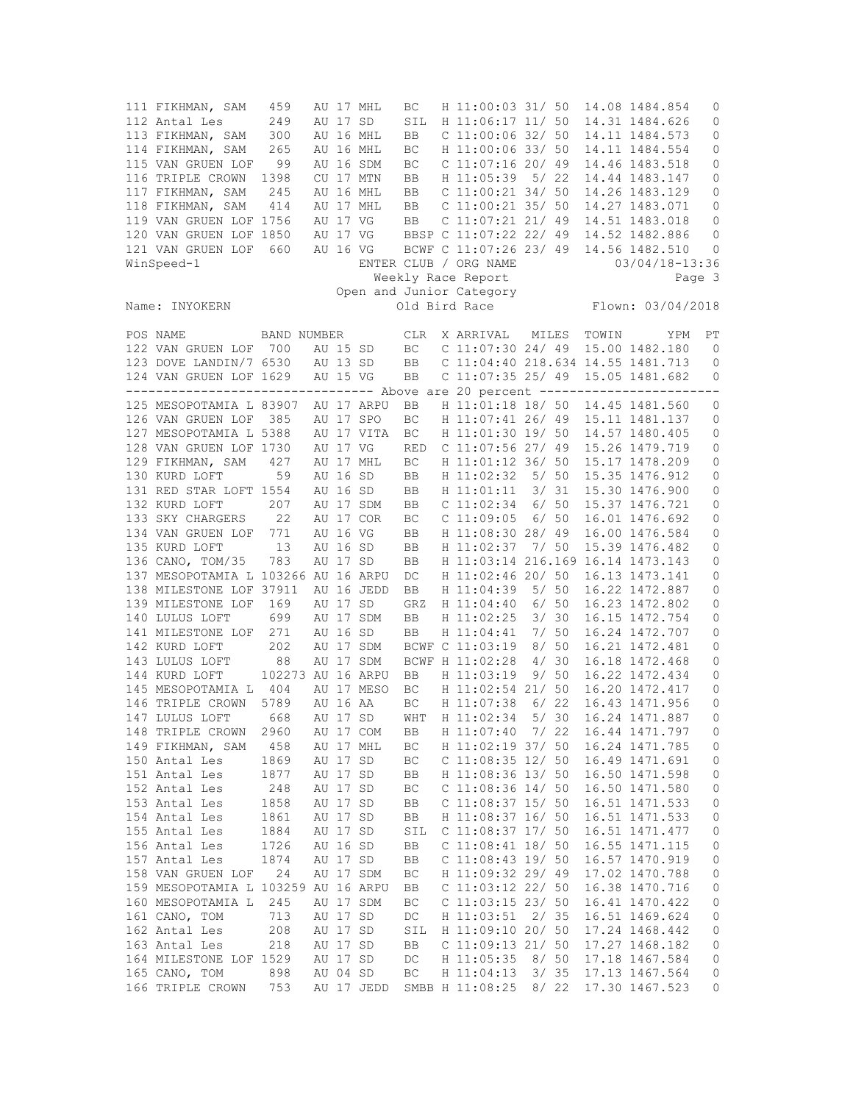| 111 FIKHMAN, SAM<br>112 Antal Les<br>113 FIKHMAN, SAM<br>114 FIKHMAN, SAM<br>115 VAN GRUEN LOF<br>116 TRIPLE CROWN<br>117 FIKHMAN, SAM<br>118 FIKHMAN, SAM | 459<br>249<br>300<br>265<br>99<br>1398<br>245<br>414 |          | AU 17 SD             | AU 17 MHL<br>AU 16 MHL<br>AU 16 MHL<br>AU 16 SDM<br>CU 17 MTN<br>AU 16 MHL<br>AU 17 MHL | ВC<br>SIL<br>BB<br>BC<br>ВC<br>BB<br><b>BB</b><br>BB | H 11:00:03 31/ 50<br>H 11:06:17 11/ 50<br>$C$ 11:00:06 32/ 50<br>H 11:00:06 33/ 50<br>$C$ 11:07:16 20/ 49<br>H 11:05:39 5/ 22<br>$C$ 11:00:21 34/ 50<br>$C$ 11:00:21 35/ 50<br>$C$ 11:07:21 21/49 |       |              |       | 14.08 1484.854<br>14.31 1484.626<br>14.11 1484.573<br>14.11 1484.554<br>14.46 1483.518<br>14.44 1483.147<br>14.26 1483.129<br>14.27 1483.071 | 0<br>0<br>0<br>0<br>0<br>0<br>$\mathbb O$<br>0 |
|------------------------------------------------------------------------------------------------------------------------------------------------------------|------------------------------------------------------|----------|----------------------|-----------------------------------------------------------------------------------------|------------------------------------------------------|---------------------------------------------------------------------------------------------------------------------------------------------------------------------------------------------------|-------|--------------|-------|----------------------------------------------------------------------------------------------------------------------------------------------|------------------------------------------------|
| 119 VAN GRUEN LOF 1756<br>120 VAN GRUEN LOF 1850                                                                                                           |                                                      |          | AU 17 VG<br>AU 17 VG |                                                                                         | BB                                                   | BBSP C 11:07:22 22/ 49                                                                                                                                                                            |       |              |       | 14.51 1483.018<br>14.52 1482.886                                                                                                             | $\circ$<br>0                                   |
| 121 VAN GRUEN LOF                                                                                                                                          | 660                                                  |          | AU 16 VG             |                                                                                         |                                                      | BCWF C 11:07:26 23/ 49                                                                                                                                                                            |       |              |       | 14.56 1482.510                                                                                                                               | 0                                              |
| WinSpeed-1                                                                                                                                                 |                                                      |          |                      |                                                                                         |                                                      | ENTER CLUB / ORG NAME                                                                                                                                                                             |       |              |       | 03/04/18-13:36                                                                                                                               |                                                |
|                                                                                                                                                            |                                                      |          |                      |                                                                                         |                                                      | Weekly Race Report                                                                                                                                                                                |       |              |       |                                                                                                                                              | Page 3                                         |
|                                                                                                                                                            |                                                      |          |                      |                                                                                         |                                                      | Open and Junior Category                                                                                                                                                                          |       |              |       |                                                                                                                                              |                                                |
| Name: INYOKERN                                                                                                                                             |                                                      |          |                      |                                                                                         |                                                      | Old Bird Race                                                                                                                                                                                     |       |              |       | Flown: 03/04/2018                                                                                                                            |                                                |
| POS NAME                                                                                                                                                   | BAND NUMBER                                          |          |                      |                                                                                         |                                                      | CLR X ARRIVAL                                                                                                                                                                                     |       | MILES        | TOWIN | YPM                                                                                                                                          | РT                                             |
| 122 VAN GRUEN LOF 700                                                                                                                                      |                                                      | AU 15 SD |                      |                                                                                         | BC                                                   | $C$ 11:07:30 24/49                                                                                                                                                                                |       |              |       | 15.00 1482.180                                                                                                                               | $\overline{0}$                                 |
| 123 DOVE LANDIN/7 6530                                                                                                                                     |                                                      |          | AU 13 SD             |                                                                                         | <b>BB</b>                                            | C 11:04:40 218.634 14.55 1481.713                                                                                                                                                                 |       |              |       |                                                                                                                                              | $\mathbf{0}$                                   |
| 124 VAN GRUEN LOF 1629                                                                                                                                     |                                                      | AU 15 VG |                      |                                                                                         | BB                                                   | $C$ 11:07:35 25/ 49                                                                                                                                                                               |       |              |       | 15.05 1481.682                                                                                                                               | 0                                              |
| -------------------------------- Above are 20 percent -------------------------                                                                            |                                                      |          |                      |                                                                                         |                                                      |                                                                                                                                                                                                   |       |              |       |                                                                                                                                              |                                                |
| 125 MESOPOTAMIA L 83907                                                                                                                                    |                                                      |          |                      | AU 17 ARPU                                                                              | BB                                                   | H 11:01:18 18/ 50                                                                                                                                                                                 |       |              |       | 14.45 1481.560                                                                                                                               | $\circ$                                        |
| 126 VAN GRUEN LOF 385                                                                                                                                      |                                                      |          |                      | AU 17 SPO                                                                               | ВC                                                   | H 11:07:41 26/ 49                                                                                                                                                                                 |       |              |       | 15.11 1481.137                                                                                                                               | $\circ$                                        |
| 127 MESOPOTAMIA L 5388                                                                                                                                     |                                                      |          |                      | AU 17 VITA                                                                              | BC                                                   | H 11:01:30 19/ 50                                                                                                                                                                                 |       |              |       | 14.57 1480.405                                                                                                                               | $\mathbb O$                                    |
| 128 VAN GRUEN LOF 1730                                                                                                                                     |                                                      |          | AU 17 VG             |                                                                                         | <b>RED</b>                                           | $C$ 11:07:56 27/ 49                                                                                                                                                                               |       |              |       | 15.26 1479.719                                                                                                                               | 0                                              |
| 129 FIKHMAN, SAM                                                                                                                                           | 427                                                  |          | AU 16 SD             | AU 17 MHL                                                                               | ВC                                                   | H 11:01:12 36/ 50                                                                                                                                                                                 |       |              |       | 15.17 1478.209                                                                                                                               | 0                                              |
| 130 KURD LOFT<br>131 RED STAR LOFT 1554                                                                                                                    | 59                                                   |          | AU 16 SD             |                                                                                         | BB                                                   | H 11:02:32 5/ 50<br>H 11:01:11                                                                                                                                                                    |       | 3/31         |       | 15.35 1476.912<br>15.30 1476.900                                                                                                             | 0                                              |
| 132 KURD LOFT                                                                                                                                              | 207                                                  |          |                      | AU 17 SDM                                                                               | BB<br>BB                                             | C <sub>11:02:34</sub>                                                                                                                                                                             |       | 6/50         |       | 15.37 1476.721                                                                                                                               | 0<br>0                                         |
| 133 SKY CHARGERS                                                                                                                                           | 22                                                   |          |                      | AU 17 COR                                                                               | ВC                                                   | $C$ 11:09:05                                                                                                                                                                                      |       | 6/50         |       | 16.01 1476.692                                                                                                                               | 0                                              |
| 134 VAN GRUEN LOF                                                                                                                                          | 771                                                  |          | AU 16 VG             |                                                                                         | BB                                                   | H 11:08:30 28/ 49                                                                                                                                                                                 |       |              |       | 16.00 1476.584                                                                                                                               | 0                                              |
| 135 KURD LOFT                                                                                                                                              | 13                                                   |          | AU 16 SD             |                                                                                         | BB                                                   | H 11:02:37                                                                                                                                                                                        | 7/ 50 |              |       | 15.39 1476.482                                                                                                                               | 0                                              |
| 136 CANO, TOM/35                                                                                                                                           | 783                                                  |          | AU 17 SD             |                                                                                         | BB                                                   | H 11:03:14 216.169 16.14 1473.143                                                                                                                                                                 |       |              |       |                                                                                                                                              | 0                                              |
| 137 MESOPOTAMIA L 103266 AU 16 ARPU                                                                                                                        |                                                      |          |                      |                                                                                         | DC                                                   | H 11:02:46 20/ 50                                                                                                                                                                                 |       |              |       | 16.13 1473.141                                                                                                                               | $\mathbb O$                                    |
| 138 MILESTONE LOF 37911                                                                                                                                    |                                                      |          |                      | AU 16 JEDD                                                                              | BB                                                   | H 11:04:39                                                                                                                                                                                        |       | 5/50         |       | 16.22 1472.887                                                                                                                               | 0                                              |
| 139 MILESTONE LOF                                                                                                                                          | 169                                                  |          | AU 17 SD             |                                                                                         | GRZ                                                  | H 11:04:40                                                                                                                                                                                        |       | 6/50         |       | 16.23 1472.802                                                                                                                               | 0                                              |
| 140 LULUS LOFT                                                                                                                                             | 699                                                  |          |                      | AU 17 SDM                                                                               | BB                                                   | H 11:02:25                                                                                                                                                                                        |       | 3/30         |       | 16.15 1472.754                                                                                                                               | $\mathbb O$                                    |
| 141 MILESTONE LOF<br>142 KURD LOFT                                                                                                                         | 271<br>202                                           |          | AU 16 SD             | AU 17 SDM                                                                               | BB                                                   | H 11:04:41<br>BCWF C 11:03:19                                                                                                                                                                     |       | 7/50<br>8/50 |       | 16.24 1472.707<br>16.21 1472.481                                                                                                             | 0<br>0                                         |
| 143 LULUS LOFT                                                                                                                                             | 88                                                   |          |                      | AU 17 SDM                                                                               |                                                      | BCWF H 11:02:28                                                                                                                                                                                   |       | 4/30         |       | 16.18 1472.468                                                                                                                               | 0                                              |
| 144 KURD LOFT                                                                                                                                              | 102273 AU 16 ARPU                                    |          |                      |                                                                                         | BB                                                   | H 11:03:19                                                                                                                                                                                        |       | 9/50         |       | 16.22 1472.434                                                                                                                               | 0                                              |
| 145 MESOPOTAMIA L 404                                                                                                                                      |                                                      |          |                      | AU 17 MESO                                                                              | ВC                                                   | H 11:02:54 21/ 50                                                                                                                                                                                 |       |              |       | 16.20 1472.417                                                                                                                               | 0                                              |
| 146 TRIPLE CROWN 5789                                                                                                                                      |                                                      |          | AU 16 AA             |                                                                                         | BC                                                   | H 11:07:38                                                                                                                                                                                        |       | 6/22         |       | 16.43 1471.956                                                                                                                               | 0                                              |
| 147 LULUS LOFT                                                                                                                                             | 668                                                  |          | AU 17 SD             |                                                                                         | WHT                                                  | H 11:02:34                                                                                                                                                                                        |       | 5/30         |       | 16.24 1471.887                                                                                                                               | $\mathbf{0}$                                   |
| 148 TRIPLE CROWN                                                                                                                                           | 2960                                                 |          |                      | AU 17 COM                                                                               | BB                                                   | H 11:07:40                                                                                                                                                                                        |       | 7/22         |       | 16.44 1471.797                                                                                                                               | 0                                              |
| 149 FIKHMAN, SAM<br>150 Antal Les                                                                                                                          | 458<br>1869                                          |          | AU 17 SD             | AU 17 MHL                                                                               | ВC<br>BC                                             | H 11:02:19 37/ 50<br>$C$ 11:08:35 12/ 50                                                                                                                                                          |       |              |       | 16.24 1471.785<br>16.49 1471.691                                                                                                             | 0<br>0                                         |
| 151 Antal Les                                                                                                                                              | 1877                                                 |          | AU 17 SD             |                                                                                         | BB                                                   | H 11:08:36 13/ 50                                                                                                                                                                                 |       |              |       | 16.50 1471.598                                                                                                                               | 0                                              |
| 152 Antal Les                                                                                                                                              | 248                                                  |          | AU 17 SD             |                                                                                         | ВC                                                   | $C$ 11:08:36 14/ 50                                                                                                                                                                               |       |              |       | 16.50 1471.580                                                                                                                               | 0                                              |
| 153 Antal Les                                                                                                                                              | 1858                                                 |          | AU 17 SD             |                                                                                         | BB                                                   | C 11:08:37 15/ 50                                                                                                                                                                                 |       |              |       | 16.51 1471.533                                                                                                                               | $\mathbb O$                                    |
| 154 Antal Les                                                                                                                                              | 1861                                                 |          | AU 17 SD             |                                                                                         | BB                                                   | H 11:08:37 16/ 50                                                                                                                                                                                 |       |              |       | 16.51 1471.533                                                                                                                               | $\circ$                                        |
| 155 Antal Les                                                                                                                                              | 1884                                                 |          | AU 17 SD             |                                                                                         | SIL                                                  | $C$ 11:08:37 17/ 50                                                                                                                                                                               |       |              |       | 16.51 1471.477                                                                                                                               | 0                                              |
| 156 Antal Les                                                                                                                                              | 1726                                                 |          | AU 16 SD             |                                                                                         | BB                                                   | $C$ 11:08:41 18/ 50                                                                                                                                                                               |       |              |       | 16.55 1471.115                                                                                                                               | $\circ$                                        |
| 157 Antal Les                                                                                                                                              | 1874                                                 |          | AU 17 SD             |                                                                                         | BB                                                   | $C$ 11:08:43 19/ 50                                                                                                                                                                               |       |              |       | 16.57 1470.919                                                                                                                               | $\circ$                                        |
| 158 VAN GRUEN LOF                                                                                                                                          | 24                                                   |          |                      | AU 17 SDM                                                                               | ВC                                                   | H 11:09:32 29/ 49                                                                                                                                                                                 |       |              |       | 17.02 1470.788                                                                                                                               | $\circ$                                        |
| 159 MESOPOTAMIA L 103259                                                                                                                                   |                                                      |          |                      | AU 16 ARPU                                                                              | BB                                                   | $C$ 11:03:12 22/ 50                                                                                                                                                                               |       |              |       | 16.38 1470.716                                                                                                                               | 0                                              |
| 160 MESOPOTAMIA L                                                                                                                                          | 245                                                  |          |                      | AU 17 SDM                                                                               | BC                                                   | $C$ 11:03:15 23/ 50                                                                                                                                                                               |       |              |       | 16.41 1470.422                                                                                                                               | $\mathbb O$                                    |
| 161 CANO, TOM                                                                                                                                              | 713                                                  |          | AU 17 SD             |                                                                                         | DC                                                   | H 11:03:51                                                                                                                                                                                        | 2/35  |              |       | 16.51 1469.624                                                                                                                               | $\circ$                                        |
| 162 Antal Les                                                                                                                                              | 208                                                  |          | AU 17 SD             |                                                                                         | SIL                                                  | H 11:09:10 20/ 50                                                                                                                                                                                 |       |              |       | 17.24 1468.442                                                                                                                               | 0                                              |
| 163 Antal Les                                                                                                                                              | 218                                                  |          | AU 17 SD             |                                                                                         | BB                                                   | $C$ 11:09:13 21/ 50                                                                                                                                                                               |       |              |       | 17.27 1468.182                                                                                                                               | $\circ$                                        |
| 164 MILESTONE LOF 1529<br>165 CANO, TOM                                                                                                                    | 898                                                  |          | AU 17 SD<br>AU 04 SD |                                                                                         | DC<br>BC                                             | H 11:05:35<br>H 11:04:13                                                                                                                                                                          |       | 8/50<br>3/35 |       | 17.18 1467.584<br>17.13 1467.564                                                                                                             | 0<br>0                                         |
| 166 TRIPLE CROWN                                                                                                                                           | 753                                                  |          |                      | AU 17 JEDD                                                                              |                                                      | SMBB H 11:08:25                                                                                                                                                                                   |       | 8/22         |       | 17.30 1467.523                                                                                                                               | 0                                              |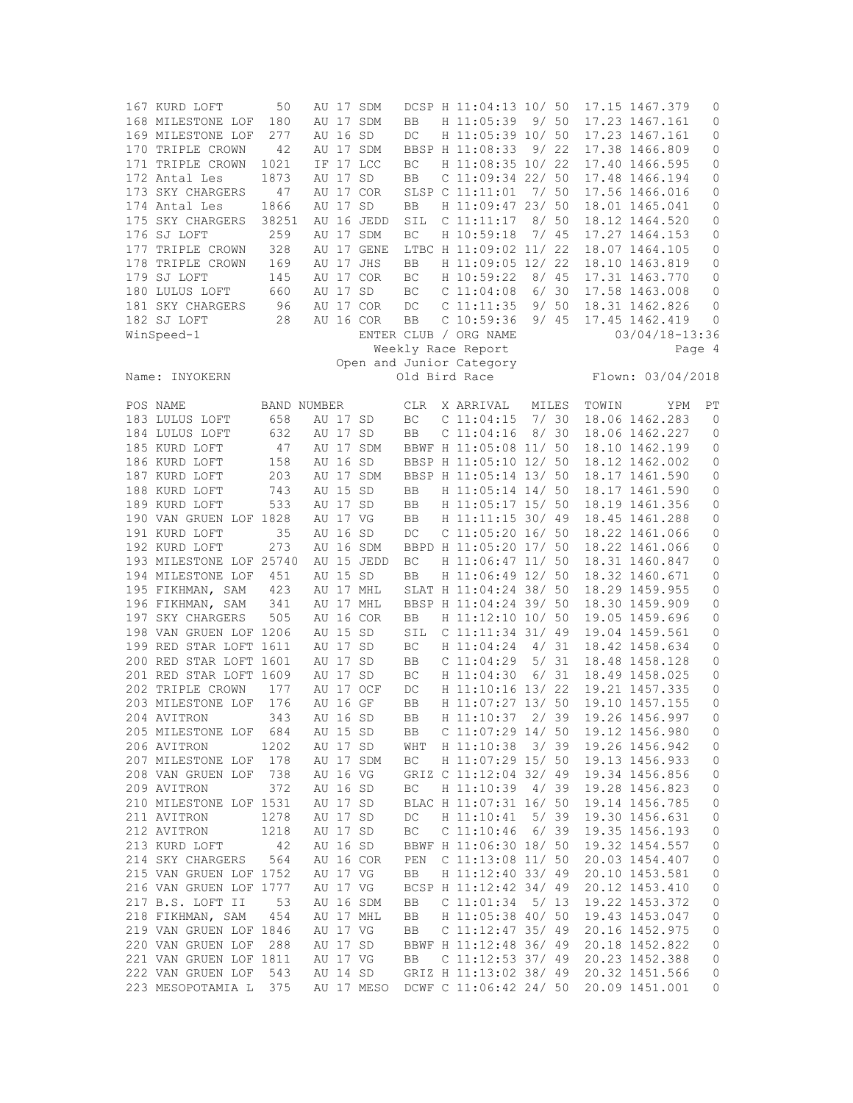| 167 KURD LOFT           | 50                 |          |          | AU 17 SDM  |            | DCSP H 11:04:13 10/ 50   |       |      |       | 17.15 1467.379     | 0            |
|-------------------------|--------------------|----------|----------|------------|------------|--------------------------|-------|------|-------|--------------------|--------------|
| 168 MILESTONE LOF       | 180                |          |          | AU 17 SDM  | BB         | H 11:05:39               |       | 9/50 |       | 17.23 1467.161     | 0            |
| 169 MILESTONE LOF       | 277                |          | AU 16 SD |            | DC         | H 11:05:39 10/ 50        |       |      |       | 17.23 1467.161     | 0            |
| 170 TRIPLE CROWN        | 42                 |          |          | AU 17 SDM  |            | BBSP H 11:08:33          |       | 9/22 |       | 17.38 1466.809     | 0            |
| 171 TRIPLE CROWN        | 1021               |          |          | IF 17 LCC  | BC         | H 11:08:35 10/ 22        |       |      |       | 17.40 1466.595     | 0            |
| 172 Antal Les           | 1873               |          | AU 17 SD |            | BB         | $C$ 11:09:34 22/ 50      |       |      |       | 17.48 1466.194     | 0            |
|                         |                    |          |          |            |            |                          | 7/ 50 |      |       |                    |              |
| 173 SKY CHARGERS        | 47                 |          |          | AU 17 COR  |            | SLSP C 11:11:01          |       |      |       | 17.56 1466.016     | $\mathbb O$  |
| 174 Antal Les           | 1866               | AU 17 SD |          |            | BB         | H 11:09:47 23/ 50        |       |      |       | 18.01 1465.041     | 0            |
| 175 SKY CHARGERS        | 38251              |          |          | AU 16 JEDD | SIL        | C 11:11:17               |       | 8/50 |       | 18.12 1464.520     | 0            |
| 176 SJ LOFT             | 259                |          |          | AU 17 SDM  | BC         | H 10:59:18               |       | 7/45 |       | 17.27 1464.153     | 0            |
| 177 TRIPLE CROWN        | 328                |          |          | AU 17 GENE |            | LTBC H 11:09:02 11/ 22   |       |      |       | 18.07 1464.105     | $\mathbb O$  |
| 178 TRIPLE CROWN        | 169                |          |          | AU 17 JHS  | BB         | H 11:09:05 12/ 22        |       |      |       | 18.10 1463.819     | 0            |
| 179 SJ LOFT             | 145                |          |          | AU 17 COR  | BC         | H 10:59:22               |       | 8/45 |       | 17.31 1463.770     | 0            |
| 180 LULUS LOFT          | 660                | AU 17 SD |          |            | BC         | $C$ 11:04:08             |       | 6/30 |       | 17.58 1463.008     | 0            |
| 181 SKY CHARGERS        | 96                 |          |          | AU 17 COR  | DC         | $C$ 11:11:35             |       | 9/50 |       | 18.31 1462.826     | 0            |
|                         |                    |          |          |            |            |                          |       |      |       | 17.45 1462.419     |              |
| 182 SJ LOFT             | 28                 |          |          | AU 16 COR  | <b>BB</b>  | $C$ 10:59:36             |       | 9/45 |       |                    | $\mathbf{0}$ |
| WinSpeed-1              |                    |          |          |            |            | ENTER CLUB / ORG NAME    |       |      |       | $03/04/18 - 13:36$ |              |
|                         |                    |          |          |            |            | Weekly Race Report       |       |      |       |                    | Page 4       |
|                         |                    |          |          |            |            | Open and Junior Category |       |      |       |                    |              |
| Name: INYOKERN          |                    |          |          |            |            | Old Bird Race            |       |      |       | Flown: 03/04/2018  |              |
|                         |                    |          |          |            |            |                          |       |      |       |                    |              |
| POS NAME                | <b>BAND NUMBER</b> |          |          |            | <b>CLR</b> | X ARRIVAL                | MILES |      | TOWIN | YPM                | РT           |
| 183 LULUS LOFT          | 658                | AU 17 SD |          |            | BC         | $C$ 11:04:15             |       | 7/30 |       | 18.06 1462.283     | $\mathbf{0}$ |
| 184 LULUS LOFT          | 632                | AU 17 SD |          |            | BB         | C <sub>11:04:16</sub>    |       | 8/30 |       | 18.06 1462.227     | 0            |
| 185 KURD LOFT           | 47                 | AU 17    |          | SDM        |            | BBWF H 11:05:08 11/ 50   |       |      |       | 18.10 1462.199     | 0            |
|                         |                    |          |          |            |            |                          |       |      |       |                    |              |
| 186 KURD LOFT           | 158                |          | AU 16 SD |            |            | BBSP H 11:05:10 12/ 50   |       |      |       | 18.12 1462.002     | 0            |
| 187 KURD LOFT           | 203                |          |          | AU 17 SDM  |            | BBSP H 11:05:14 13/ 50   |       |      |       | 18.17 1461.590     | 0            |
| 188 KURD LOFT           | 743                | AU 15 SD |          |            | BB         | H 11:05:14 14/ 50        |       |      |       | 18.17 1461.590     | 0            |
| 189 KURD LOFT           | 533                | AU 17 SD |          |            | BB         | H 11:05:17 15/ 50        |       |      |       | 18.19 1461.356     | 0            |
| 190 VAN GRUEN LOF 1828  |                    | AU 17 VG |          |            | BB         | H 11:11:15 30/ 49        |       |      |       | 18.45 1461.288     | 0            |
| 191 KURD LOFT           | 35                 | AU 16 SD |          |            | $DC$       | $C$ 11:05:20 16/ 50      |       |      |       | 18.22 1461.066     | 0            |
| 192 KURD LOFT           | 273                |          |          | AU 16 SDM  |            | BBPD H 11:05:20 17/ 50   |       |      |       | 18.22 1461.066     | 0            |
| 193 MILESTONE LOF 25740 |                    |          |          | AU 15 JEDD | BC         | H 11:06:47 11/ 50        |       |      |       | 18.31 1460.847     | 0            |
| 194 MILESTONE LOF       | 451                | AU 15 SD |          |            | BB         | H 11:06:49 12/ 50        |       |      |       | 18.32 1460.671     | $\mathbb O$  |
|                         | 423                |          |          |            |            |                          |       |      |       |                    |              |
| 195 FIKHMAN, SAM        |                    |          |          | AU 17 MHL  |            | SLAT H 11:04:24 38/ 50   |       |      |       | 18.29 1459.955     | 0            |
| 196 FIKHMAN, SAM        | 341                |          |          | AU 17 MHL  |            | BBSP H 11:04:24 39/ 50   |       |      |       | 18.30 1459.909     | $\circ$      |
| 197 SKY CHARGERS        | 505                |          |          | AU 16 COR  | BB         | H 11:12:10 10/ 50        |       |      |       | 19.05 1459.696     | 0            |
| 198 VAN GRUEN LOF 1206  |                    | AU 15 SD |          |            | SIL        | $C$ 11:11:34 31/49       |       |      |       | 19.04 1459.561     | 0            |
| 199 RED STAR LOFT 1611  |                    | AU 17 SD |          |            | BC         | H 11:04:24               |       | 4/31 |       | 18.42 1458.634     | 0            |
| 200 RED STAR LOFT 1601  |                    | AU 17 SD |          |            | BB         | C 11:04:29               |       | 5/31 |       | 18.48 1458.128     | 0            |
| 201 RED STAR LOFT 1609  |                    | AU 17 SD |          |            | BC         | H 11:04:30               |       | 6/31 |       | 18.49 1458.025     | $\mathbb O$  |
| 202 TRIPLE CROWN        | 177                |          |          | AU 17 OCF  | DC         | H 11:10:16 13/ 22        |       |      |       | 19.21 1457.335     | 0            |
| 203 MILESTONE LOF       | 176                | AU 16 GF |          |            | BB         | H 11:07:27 13/ 50        |       |      |       | 19.10 1457.155     | 0            |
| 204 AVITRON             | 343                |          | AU 16 SD |            | BB         | H 11:10:37               |       | 2/39 |       | 19.26 1456.997     | $\mathbf 0$  |
|                         |                    |          |          |            |            |                          |       |      |       |                    |              |
| 205 MILESTONE LOF       | 684                |          | AU 15 SD |            | BB         | $C$ 11:07:29 14/ 50      |       |      |       | 19.12 1456.980     | 0            |
| 206 AVITRON             | 1202               | AU 17 SD |          |            | WHT        | H 11:10:38               | 3/39  |      |       | 19.26 1456.942     | 0            |
| 207 MILESTONE LOF       | 178                |          |          | AU 17 SDM  | BC         | H 11:07:29 15/ 50        |       |      |       | 19.13 1456.933     | 0            |
| 208 VAN GRUEN LOF       | 738                | AU 16 VG |          |            |            | GRIZ C 11:12:04 32/ 49   |       |      |       | 19.34 1456.856     | 0            |
| 209 AVITRON             | 372                | AU 16 SD |          |            | BC         | H 11:10:39               |       | 4/39 |       | 19.28 1456.823     | 0            |
| 210 MILESTONE LOF 1531  |                    | AU 17 SD |          |            |            | BLAC H 11:07:31 16/ 50   |       |      |       | 19.14 1456.785     | 0            |
| 211 AVITRON             | 1278               | AU 17 SD |          |            | DC         | H 11:10:41               |       | 5/39 |       | 19.30 1456.631     | $\mathbb O$  |
| 212 AVITRON             | 1218               | AU 17 SD |          |            | BC         | $C$ 11:10:46             |       | 6/39 |       | 19.35 1456.193     | 0            |
| 213 KURD LOFT           | 42                 | AU 16 SD |          |            |            | BBWF H 11:06:30 18/ 50   |       |      |       | 19.32 1454.557     | 0            |
|                         |                    |          |          |            |            |                          |       |      |       |                    |              |
| 214 SKY CHARGERS        | 564                |          |          | AU 16 COR  | PEN        | $C$ 11:13:08 11/ 50      |       |      |       | 20.03 1454.407     | $\mathbb O$  |
| 215 VAN GRUEN LOF 1752  |                    | AU 17 VG |          |            | BB         | H 11:12:40 33/ 49        |       |      |       | 20.10 1453.581     | 0            |
| 216 VAN GRUEN LOF 1777  |                    | AU 17 VG |          |            |            | BCSP H 11:12:42 34/ 49   |       |      |       | 20.12 1453.410     | $\mathbb O$  |
| 217 B.S. LOFT II        | 53                 |          |          | AU 16 SDM  | BB         | $C$ 11:01:34             |       | 5/13 |       | 19.22 1453.372     | $\mathbb O$  |
| 218 FIKHMAN, SAM        | 454                |          |          | AU 17 MHL  | BB         | H 11:05:38 40/ 50        |       |      |       | 19.43 1453.047     | $\mathbb O$  |
| 219 VAN GRUEN LOF 1846  |                    | AU 17 VG |          |            | BB         | C $11:12:47$ 35/ 49      |       |      |       | 20.16 1452.975     | 0            |
| 220 VAN GRUEN LOF 288   |                    | AU 17 SD |          |            |            | BBWF H 11:12:48 36/ 49   |       |      |       | 20.18 1452.822     | 0            |
| 221 VAN GRUEN LOF 1811  |                    | AU 17 VG |          |            | BB         | C $11:12:53$ 37/ 49      |       |      |       | 20.23 1452.388     | 0            |
| 222 VAN GRUEN LOF       | 543                | AU 14 SD |          |            |            | GRIZ H 11:13:02 38/ 49   |       |      |       | 20.32 1451.566     | 0            |
|                         |                    |          |          |            |            |                          |       |      |       |                    |              |
| 223 MESOPOTAMIA L       | 375                |          |          | AU 17 MESO |            | DCWF C 11:06:42 24/ 50   |       |      |       | 20.09 1451.001     | 0            |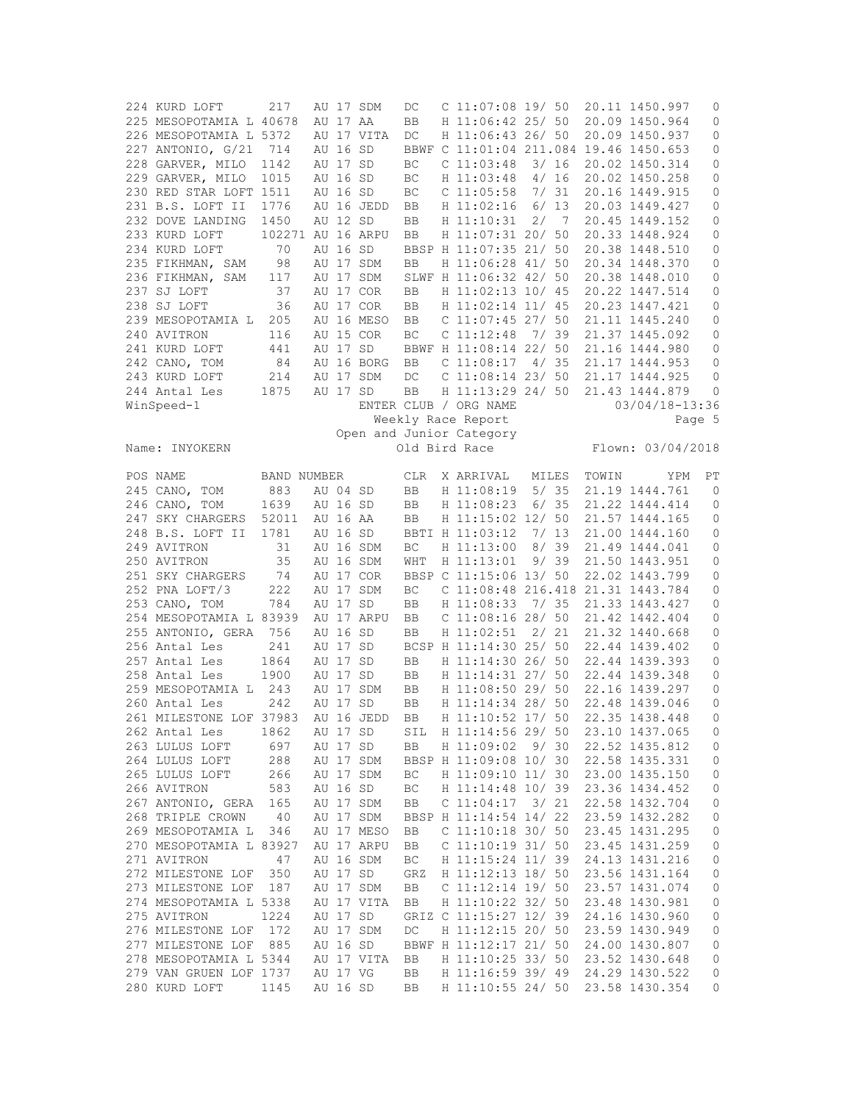| 224 KURD LOFT                           | 217               |                      | AU 17 SDM  | DC                  | $C$ 11:07:08 19/ 50                    |       |      |       | 20.11 1450.997                   | 0           |
|-----------------------------------------|-------------------|----------------------|------------|---------------------|----------------------------------------|-------|------|-------|----------------------------------|-------------|
| 225 MESOPOTAMIA L 40678                 |                   | AU 17 AA             |            | BB                  | H 11:06:42 25/ 50                      |       |      |       | 20.09 1450.964                   | 0           |
| 226 MESOPOTAMIA L 5372                  |                   |                      | AU 17 VITA | DC                  | H 11:06:43 26/ 50                      |       |      |       | 20.09 1450.937                   | 0           |
|                                         |                   |                      |            |                     |                                        |       |      |       |                                  |             |
| 227 ANTONIO, G/21 714                   |                   | AU 16 SD             |            |                     | BBWF C 11:01:04 211.084 19.46 1450.653 |       |      |       |                                  | 0           |
| 228 GARVER, MILO                        | 1142              | AU 17 SD             |            | ВC                  | $C$ 11:03:48 3/16                      |       |      |       | 20.02 1450.314                   | 0           |
| 229 GARVER, MILO                        | 1015              | AU 16 SD             |            | ВC                  | H 11:03:48                             |       | 4/16 |       | 20.02 1450.258                   | 0           |
| 230 RED STAR LOFT 1511                  |                   | AU 16 SD             |            | ВC                  | $C$ 11:05:58 7/31                      |       |      |       | 20.16 1449.915                   | $\circ$     |
| 231 B.S. LOFT II                        | 1776              |                      | AU 16 JEDD | BB                  | H 11:02:16                             | 6/13  |      |       | 20.03 1449.427                   | $\mathbb O$ |
| 232 DOVE LANDING                        | 1450              | AU 12 SD             |            | BB                  | H 11:10:31                             |       | 2/7  |       | 20.45 1449.152                   | 0           |
| 233 KURD LOFT                           | 102271 AU 16 ARPU |                      |            | BB                  | H 11:07:31 20/ 50                      |       |      |       | 20.33 1448.924                   | $\mathbb O$ |
| 234 KURD LOFT                           | 70                | AU 16 SD             |            |                     | BBSP H 11:07:35 21/ 50                 |       |      |       | 20.38 1448.510                   |             |
|                                         |                   |                      |            |                     |                                        |       |      |       |                                  | 0           |
| 235 FIKHMAN, SAM                        | 98                |                      | AU 17 SDM  | BB                  | H 11:06:28 41/ 50                      |       |      |       | 20.34 1448.370                   | 0           |
| 236 FIKHMAN, SAM                        | 117               |                      | AU 17 SDM  |                     | SLWF H 11:06:32 42/ 50                 |       |      |       | 20.38 1448.010                   | $\circ$     |
| 237 SJ LOFT                             | 37                |                      | AU 17 COR  | BB                  | H 11:02:13 10/ 45                      |       |      |       | 20.22 1447.514                   | $\circ$     |
| 238 SJ LOFT                             | 36                |                      | AU 17 COR  | BB                  | H 11:02:14 11/ 45                      |       |      |       | 20.23 1447.421                   | 0           |
| 239 MESOPOTAMIA L                       | 205               |                      | AU 16 MESO | BB                  | C 11:07:45 27/ 50                      |       |      |       | 21.11 1445.240                   | $\mathbb O$ |
| 240 AVITRON                             | 116               |                      | AU 15 COR  | ВC                  | $C$ 11:12:48                           | 7/39  |      |       | 21.37 1445.092                   | $\mathbb O$ |
|                                         |                   |                      |            |                     | BBWF H 11:08:14 22/ 50                 |       |      |       |                                  |             |
| 241 KURD LOFT                           | 441               | AU 17 SD             |            |                     |                                        |       |      |       | 21.16 1444.980                   | $\mathbb O$ |
| 242 CANO, TOM                           | 84                |                      | AU 16 BORG | BB                  | $C$ 11:08:17                           | 4/35  |      |       | 21.17 1444.953                   | 0           |
| 243 KURD LOFT                           | 214               |                      | AU 17 SDM  | DC                  | $C$ 11:08:14 23/ 50                    |       |      |       | 21.17 1444.925                   | 0           |
| 244 Antal Les                           | 1875              | AU 17 SD             |            | <b>BB</b>           | H 11:13:29 24/ 50                      |       |      |       | 21.43 1444.879                   | 0           |
| WinSpeed-1                              |                   |                      |            |                     | ENTER CLUB / ORG NAME                  |       |      |       | $03/04/18 - 13:36$               |             |
|                                         |                   |                      |            |                     | Weekly Race Report                     |       |      |       |                                  | Page 5      |
|                                         |                   |                      |            |                     | Open and Junior Category               |       |      |       |                                  |             |
|                                         |                   |                      |            |                     | Old Bird Race                          |       |      |       | Flown: 03/04/2018                |             |
| Name: INYOKERN                          |                   |                      |            |                     |                                        |       |      |       |                                  |             |
|                                         |                   |                      |            |                     |                                        |       |      |       |                                  |             |
| POS NAME                                | BAND NUMBER       |                      |            | <b>CLR</b>          | X ARRIVAL                              | MILES |      | TOWIN | YPM                              | PT          |
| 245 CANO, TOM                           | 883               | AU 04 SD             |            | <b>BB</b>           | H 11:08:19                             |       | 5/35 |       | 21.19 1444.761                   | 0           |
| 246 CANO, TOM                           | 1639              | AU 16 SD             |            | BB                  | H 11:08:23                             |       | 6/35 |       | 21.22 1444.414                   | 0           |
| 247 SKY CHARGERS                        | 52011             | AU 16 AA             |            | BB                  | H 11:15:02 12/ 50                      |       |      |       | 21.57 1444.165                   | 0           |
| 248 B.S. LOFT II                        | 1781              | AU 16 SD             |            |                     | BBTI H 11:03:12                        |       | 7/13 |       | 21.00 1444.160                   | 0           |
| 249 AVITRON                             | 31                |                      | AU 16 SDM  | ВC                  | H 11:13:00                             |       | 8/39 |       | 21.49 1444.041                   | 0           |
|                                         |                   |                      |            |                     |                                        |       |      |       |                                  |             |
|                                         |                   |                      |            |                     |                                        |       |      |       |                                  |             |
| 250 AVITRON                             | 35                |                      | AU 16 SDM  | WHT                 | H 11:13:01                             |       | 9/39 |       | 21.50 1443.951                   | 0           |
| 251 SKY CHARGERS                        | 74                |                      | AU 17 COR  |                     | BBSP C 11:15:06 13/ 50                 |       |      |       | 22.02 1443.799                   | $\circ$     |
| 252 PNA LOFT/3                          | 222               |                      | AU 17 SDM  | ВC                  | C 11:08:48 216.418 21.31 1443.784      |       |      |       |                                  | 0           |
| 253 CANO, TOM                           | 784               | AU 17 SD             |            | BB                  | H 11:08:33                             | 7/35  |      |       | 21.33 1443.427                   | 0           |
| 254 MESOPOTAMIA L 83939                 |                   |                      | AU 17 ARPU | BB                  | $C$ 11:08:16 28/ 50                    |       |      |       | 21.42 1442.404                   | $\mathbb O$ |
|                                         |                   | AU 16 SD             |            | BB                  | H 11:02:51                             |       | 2/21 |       | 21.32 1440.668                   |             |
| 255 ANTONIO, GERA 756                   |                   |                      |            |                     |                                        |       |      |       |                                  | 0           |
| 256 Antal Les                           | 241               | AU 17 SD             |            |                     | BCSP H 11:14:30 25/ 50                 |       |      |       | 22.44 1439.402                   | 0           |
| 257 Antal Les                           | 1864              | AU 17 SD             |            | BB                  | H 11:14:30 26/ 50                      |       |      |       | 22.44 1439.393                   | 0           |
| 258 Antal Les                           | 1900              | AU 17 SD             |            | BB                  | H 11:14:31 27/ 50                      |       |      |       | 22.44 1439.348                   | $\mathbb O$ |
| 259 MESOPOTAMIA L 243                   |                   |                      | AU 17 SDM  | BB                  | H 11:08:50 29/ 50                      |       |      |       | 22.16 1439.297                   | 0           |
| 260 Antal Les                           | 242               | AU 17 SD             |            | BB                  | H 11:14:34 28/ 50                      |       |      |       | 22.48 1439.046                   | $\mathbf 0$ |
| 261 MILESTONE LOF 37983                 |                   |                      | AU 16 JEDD | <b>BB</b>           | H 11:10:52 17/ 50                      |       |      |       | 22.35 1438.448                   | 0           |
|                                         | 1862              |                      |            | SIL                 |                                        |       |      |       |                                  | 0           |
| 262 Antal Les                           |                   | AU 17 SD             |            |                     | H 11:14:56 29/ 50                      |       |      |       | 23.10 1437.065                   |             |
| 263 LULUS LOFT                          | 697               | AU 17 SD             |            | BB                  | H 11:09:02                             | 9/30  |      |       | 22.52 1435.812                   | 0           |
| 264 LULUS LOFT                          | 288               |                      | AU 17 SDM  |                     | BBSP H 11:09:08 10/ 30                 |       |      |       | 22.58 1435.331                   | 0           |
| 265 LULUS LOFT                          | 266               |                      | AU 17 SDM  | $\operatorname{BC}$ | H 11:09:10 11/ 30                      |       |      |       | 23.00 1435.150                   | 0           |
| 266 AVITRON                             | 583               | AU 16 SD             |            | ВC                  | H 11:14:48 10/ 39                      |       |      |       | 23.36 1434.452                   | 0           |
| 267 ANTONIO, GERA                       | 165               |                      | AU 17 SDM  | BB                  | C 11:04:17                             | 3/21  |      |       | 22.58 1432.704                   | 0           |
| 268 TRIPLE CROWN                        | 40                |                      | AU 17 SDM  |                     | BBSP H 11:14:54 14/ 22                 |       |      |       | 23.59 1432.282                   | $\mathbb O$ |
| 269 MESOPOTAMIA L                       |                   |                      |            |                     |                                        |       |      |       |                                  |             |
|                                         | 346               |                      | AU 17 MESO | BB                  | C 11:10:18 30/ 50                      |       |      |       | 23.45 1431.295                   | $\mathbb O$ |
| 270 MESOPOTAMIA L 83927                 |                   |                      | AU 17 ARPU | BB                  | $C$ 11:10:19 31/ 50                    |       |      |       | 23.45 1431.259                   | 0           |
| 271 AVITRON                             | 47                |                      | AU 16 SDM  | ВC                  | H 11:15:24 11/ 39                      |       |      |       | 24.13 1431.216                   | $\mathbb O$ |
| 272 MILESTONE LOF                       | 350               | AU 17 SD             |            | GRZ                 | H 11:12:13 18/ 50                      |       |      |       | 23.56 1431.164                   | 0           |
| 273 MILESTONE LOF                       | 187               |                      | AU 17 SDM  | BB                  | $C$ 11:12:14 19/ 50                    |       |      |       | 23.57 1431.074                   | 0           |
| 274 MESOPOTAMIA L 5338                  |                   |                      | AU 17 VITA | BB                  | H 11:10:22 32/ 50                      |       |      |       | 23.48 1430.981                   | 0           |
| 275 AVITRON                             | 1224              | AU 17 SD             |            |                     | GRIZ C 11:15:27 12/ 39                 |       |      |       | 24.16 1430.960                   | $\mathbb O$ |
| 276 MILESTONE LOF                       | 172               |                      | AU 17 SDM  | DC                  | H 11:12:15 20/ 50                      |       |      |       | 23.59 1430.949                   | 0           |
|                                         |                   |                      |            |                     |                                        |       |      |       |                                  |             |
| 277 MILESTONE LOF                       | 885               | AU 16 SD             |            |                     | BBWF H 11:12:17 21/ 50                 |       |      |       | 24.00 1430.807                   | 0           |
| 278 MESOPOTAMIA L 5344                  |                   |                      | AU 17 VITA | BB                  | H 11:10:25 33/ 50                      |       |      |       | 23.52 1430.648                   | 0           |
| 279 VAN GRUEN LOF 1737<br>280 KURD LOFT | 1145              | AU 17 VG<br>AU 16 SD |            | BB<br>BB            | H 11:16:59 39/ 49<br>H 11:10:55 24/ 50 |       |      |       | 24.29 1430.522<br>23.58 1430.354 | 0<br>0      |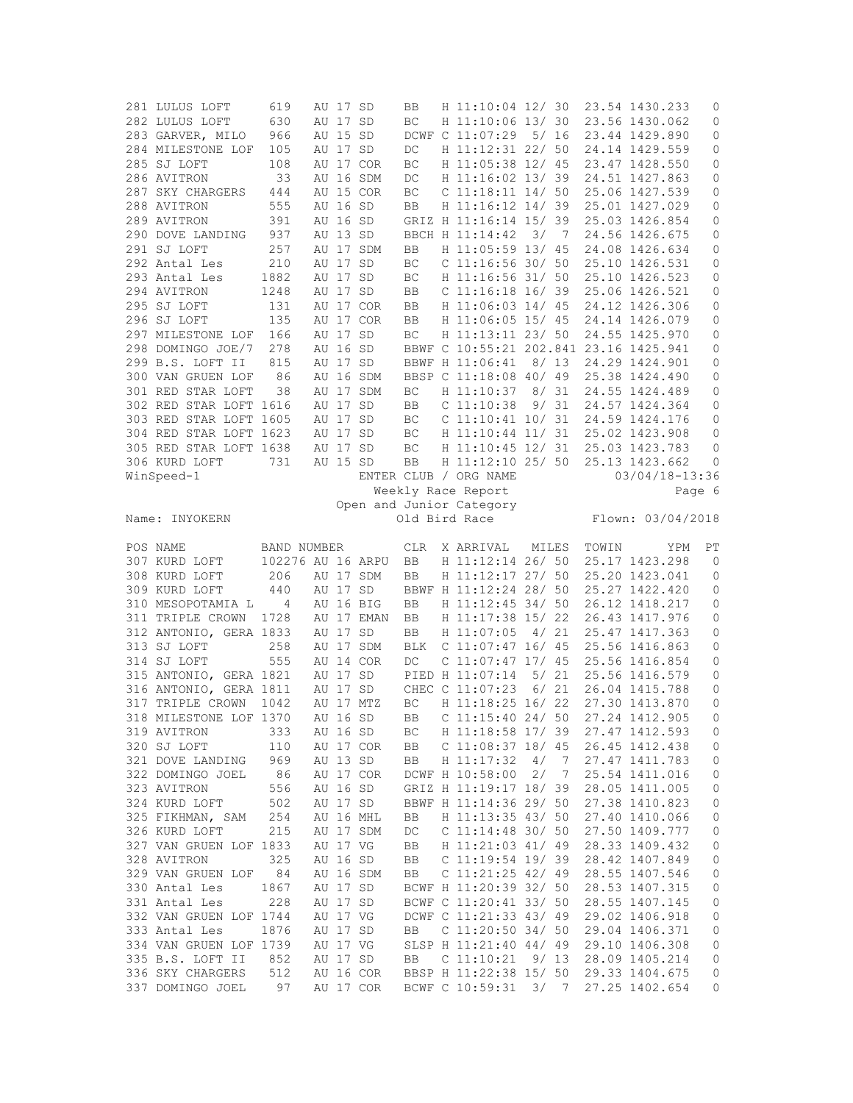| 281 LULUS LOFT                       | 619               | AU 17 SD |            | BB         | H 11:10:04 12/ 30                         |       |                |       | 23.54 1430.233                   | 0            |
|--------------------------------------|-------------------|----------|------------|------------|-------------------------------------------|-------|----------------|-------|----------------------------------|--------------|
| 282 LULUS LOFT                       | 630               | AU 17 SD |            | BC         | H 11:10:06 13/30                          |       |                |       | 23.56 1430.062                   | 0            |
| 283 GARVER, MILO                     | 966               | AU 15 SD |            |            | DCWF C 11:07:29 5/ 16                     |       |                |       | 23.44 1429.890                   | $\mathbb O$  |
| 284 MILESTONE LOF                    | 105               | AU 17 SD |            | $DC$       | H 11:12:31 22/ 50                         |       |                |       | 24.14 1429.559                   | $\circ$      |
| 285 SJ LOFT                          | 108               |          | AU 17 COR  | BC         | H 11:05:38 12/ 45                         |       |                |       | 23.47 1428.550                   | 0            |
| 286 AVITRON                          | 33                |          | AU 16 SDM  | DC         | H 11:16:02 13/39                          |       |                |       | 24.51 1427.863                   | 0            |
| 287 SKY CHARGERS                     | 444               |          | AU 15 COR  | BC         | $C$ 11:18:11 14/ 50                       |       |                |       | 25.06 1427.539                   | $\mathbb O$  |
| 288 AVITRON                          | 555               | AU 16 SD |            | BB         | H 11:16:12 14/ 39                         |       |                |       | 25.01 1427.029                   | 0            |
| 289 AVITRON                          | 391               | AU 16 SD |            |            | GRIZ H 11:16:14 15/ 39                    |       |                |       | 25.03 1426.854                   | $\circ$      |
| 290 DOVE LANDING                     | 937               | AU 13 SD |            |            | BBCH H 11:14:42                           |       | 3/7            |       | 24.56 1426.675                   | 0            |
| 291 SJ LOFT                          | 257               |          | AU 17 SDM  | BB         | H 11:05:59 13/ 45                         |       |                |       | 24.08 1426.634                   | 0            |
| 292 Antal Les                        | 210               | AU 17 SD |            | BC         | $C$ 11:16:56 30/ 50                       |       |                |       | 25.10 1426.531                   | 0            |
| 293 Antal Les                        | 1882              | AU 17 SD |            | BC         | H 11:16:56 31/ 50                         |       |                |       | 25.10 1426.523                   | $\mathbb O$  |
| 294 AVITRON                          | 1248              | AU 17 SD |            |            | C 11:16:18 16/ 39                         |       |                |       | 25.06 1426.521                   | $\mathbb O$  |
|                                      |                   |          |            | BB         | H 11:06:03 14/ 45                         |       |                |       |                                  |              |
| 295 SJ LOFT                          | 131               |          | AU 17 COR  | BB         |                                           |       |                |       | 24.12 1426.306                   | 0            |
| 296 SJ LOFT                          | 135               |          | AU 17 COR  | BB         | H 11:06:05 15/ 45                         |       |                |       | 24.14 1426.079                   | $\mathbb O$  |
| 297 MILESTONE LOF                    | 166               | AU 17 SD |            | BC         | H 11:13:11 23/ 50                         |       |                |       | 24.55 1425.970                   | $\mathbb O$  |
| 298 DOMINGO JOE/7                    | 278               | AU 16 SD |            |            | BBWF C 10:55:21 202.841 23.16 1425.941    |       |                |       |                                  | 0            |
| 299 B.S. LOFT II                     | 815               | AU 17 SD |            |            | BBWF H 11:06:41                           |       | 8/13           |       | 24.29 1424.901                   | 0            |
| 300 VAN GRUEN LOF                    | 86                |          | AU 16 SDM  |            | BBSP C 11:18:08 40/ 49                    |       |                |       | 25.38 1424.490                   | 0            |
| 301 RED STAR LOFT                    | 38                |          | AU 17 SDM  | ВC         | H 11:10:37                                |       | 8/31           |       | 24.55 1424.489                   | 0            |
| 302 RED STAR LOFT 1616               |                   | AU 17 SD |            | BB         | $C$ 11:10:38                              |       | 9/31           |       | 24.57 1424.364                   | 0            |
| 303 RED STAR LOFT 1605               |                   | AU 17    | SD         | ВC         | C 11:10:41 10/ 31                         |       |                |       | 24.59 1424.176                   | $\mathbb O$  |
| 304 RED STAR LOFT 1623               |                   | AU 17 SD |            | BC         | H 11:10:44 11/ 31                         |       |                |       | 25.02 1423.908                   | $\circ$      |
| 305 RED STAR LOFT 1638               |                   | AU 17 SD |            | ВC         | H 11:10:45 12/ 31                         |       |                |       | 25.03 1423.783                   | 0            |
| 306 KURD LOFT                        | 731               | AU 15 SD |            | BB         | H 11:12:10 25/ 50                         |       |                |       | 25.13 1423.662                   | 0            |
| WinSpeed-1                           |                   |          |            |            | ENTER CLUB / ORG NAME                     |       |                |       | 03/04/18-13:36                   |              |
|                                      |                   |          |            |            | Weekly Race Report                        |       |                |       |                                  | Page 6       |
|                                      |                   |          |            |            | Open and Junior Category                  |       |                |       |                                  |              |
| Name: INYOKERN                       |                   |          |            |            | Old Bird Race                             |       |                |       | Flown: 03/04/2018                |              |
|                                      |                   |          |            |            |                                           |       |                |       |                                  |              |
|                                      |                   |          |            |            |                                           |       |                |       |                                  |              |
| POS NAME                             | BAND NUMBER       |          |            | <b>CLR</b> | X ARRIVAL                                 | MILES |                | TOWIN | YPM                              | PT           |
| 307 KURD LOFT                        | 102276 AU 16 ARPU |          |            | BB         | H 11:12:14 26/ 50                         |       |                |       | 25.17 1423.298                   | $\mathbf{0}$ |
| 308 KURD LOFT                        | 206               |          | AU 17 SDM  | BB         |                                           |       |                |       | 25.20 1423.041                   | 0            |
|                                      |                   |          |            |            | H 11:12:17 27/ 50                         |       |                |       |                                  |              |
| 309 KURD LOFT                        | 440               | AU 17 SD |            |            | BBWF H 11:12:24 28/ 50                    |       |                |       | 25.27 1422.420                   | 0            |
| 310 MESOPOTAMIA L                    | 4                 |          | AU 16 BIG  | BB         | H 11:12:45 34/ 50                         |       |                |       | 26.12 1418.217                   | 0            |
| 311 TRIPLE CROWN                     | 1728              |          | AU 17 EMAN | BB.        | H 11:17:38 15/ 22                         |       |                |       | 26.43 1417.976                   | $\mathbb O$  |
| 312 ANTONIO, GERA 1833               |                   | AU 17    | SD         | BB         | H 11:07:05                                |       | 4/21           |       | 25.47 1417.363                   | 0            |
| 313 SJ LOFT                          | 258               |          | AU 17 SDM  | BLK        | C $11:07:47$ 16/ 45                       |       |                |       | 25.56 1416.863                   | 0            |
| 314 SJ LOFT                          | 555               |          | AU 14 COR  | DC         | $C$ 11:07:47 17/ 45                       |       |                |       | 25.56 1416.854                   | 0            |
| 315 ANTONIO, GERA 1821               |                   | AU 17 SD |            |            | PIED H 11:07:14                           |       | 5/21           |       | 25.56 1416.579                   | 0            |
| 316 ANTONIO, GERA 1811               |                   | AU 17 SD |            |            | CHEC C 11:07:23                           |       | 6/21           |       | 26.04 1415.788                   | 0            |
| 317 TRIPLE CROWN 1042                |                   |          | AU 17 MTZ  | ВC         | H 11:18:25 16/ 22                         |       |                |       | 27.30 1413.870                   | 0            |
| 318 MILESTONE LOF 1370               |                   | AU 16 SD |            | <b>BB</b>  | $C$ 11:15:40 24/ 50                       |       |                |       | 27.24 1412.905                   | $\mathbf{0}$ |
| 319 AVITRON                          | 333               | AU 16 SD |            | ВC         | H 11:18:58 17/ 39                         |       |                |       | 27.47 1412.593                   | 0            |
| 320 SJ LOFT                          | 110               |          | AU 17 COR  | BB         | $C$ 11:08:37 18/ 45                       |       |                |       | 26.45 1412.438                   | 0            |
| 321 DOVE LANDING                     | 969               | AU 13 SD |            | BB         | H 11:17:32                                | 4/7   |                |       | 27.47 1411.783                   | 0            |
| 322 DOMINGO JOEL                     | 86                |          | AU 17 COR  |            | DCWF H 10:58:00                           | 2/    | $\overline{7}$ |       | 25.54 1411.016                   | 0            |
| 323 AVITRON                          | 556               | AU 16 SD |            |            | GRIZ H 11:19:17 18/ 39                    |       |                |       | 28.05 1411.005                   | 0            |
| 324 KURD LOFT                        | 502               | AU 17 SD |            |            | BBWF H 11:14:36 29/ 50                    |       |                |       | 27.38 1410.823                   | 0            |
|                                      |                   |          |            |            |                                           |       |                |       |                                  |              |
| 325 FIKHMAN, SAM                     | 254               |          | AU 16 MHL  | BB         | H 11:13:35 43/ 50                         |       |                |       | 27.40 1410.066                   | $\circ$      |
| 326 KURD LOFT                        | 215               |          | AU 17 SDM  | DC         | $C$ 11:14:48 30/ 50                       |       |                |       | 27.50 1409.777                   | 0            |
| 327 VAN GRUEN LOF 1833               |                   | AU 17 VG |            | BB         | H 11:21:03 41/ 49                         |       |                |       | 28.33 1409.432                   | $\mathbf 0$  |
| 328 AVITRON                          | 325               | AU 16 SD |            | BB         | $C$ 11:19:54 19/ 39                       |       |                |       | 28.42 1407.849                   | $\mathbb O$  |
| 329 VAN GRUEN LOF                    | 84                |          | AU 16 SDM  | BB         | $C$ 11:21:25 42/ 49                       |       |                |       | 28.55 1407.546                   | 0            |
| 330 Antal Les                        | 1867              | AU 17 SD |            |            | BCWF H 11:20:39 32/ 50                    |       |                |       | 28.53 1407.315                   | 0            |
| 331 Antal Les                        | 228               | AU 17 SD |            |            | BCWF C 11:20:41 33/ 50                    |       |                |       | 28.55 1407.145                   | $\mathbf 0$  |
| 332 VAN GRUEN LOF 1744               |                   | AU 17 VG |            |            | DCWF C 11:21:33 43/ 49                    |       |                |       | 29.02 1406.918                   | $\mathbb O$  |
| 333 Antal Les                        | 1876              | AU 17 SD |            | BB         | C $11:20:50$ 34/ 50                       |       |                |       | 29.04 1406.371                   | 0            |
| 334 VAN GRUEN LOF 1739               |                   | AU 17 VG |            |            | SLSP H 11:21:40 44/ 49                    |       |                |       | 29.10 1406.308                   | $\mathbf 0$  |
| 335 B.S. LOFT II                     | 852               | AU 17 SD |            | BB         | C 11:10:21                                |       | 9/ 13          |       | 28.09 1405.214                   | 0            |
| 336 SKY CHARGERS<br>337 DOMINGO JOEL | 512               |          | AU 16 COR  |            | BBSP H 11:22:38 15/ 50<br>BCWF C 10:59:31 |       |                |       | 29.33 1404.675<br>27.25 1402.654 | 0            |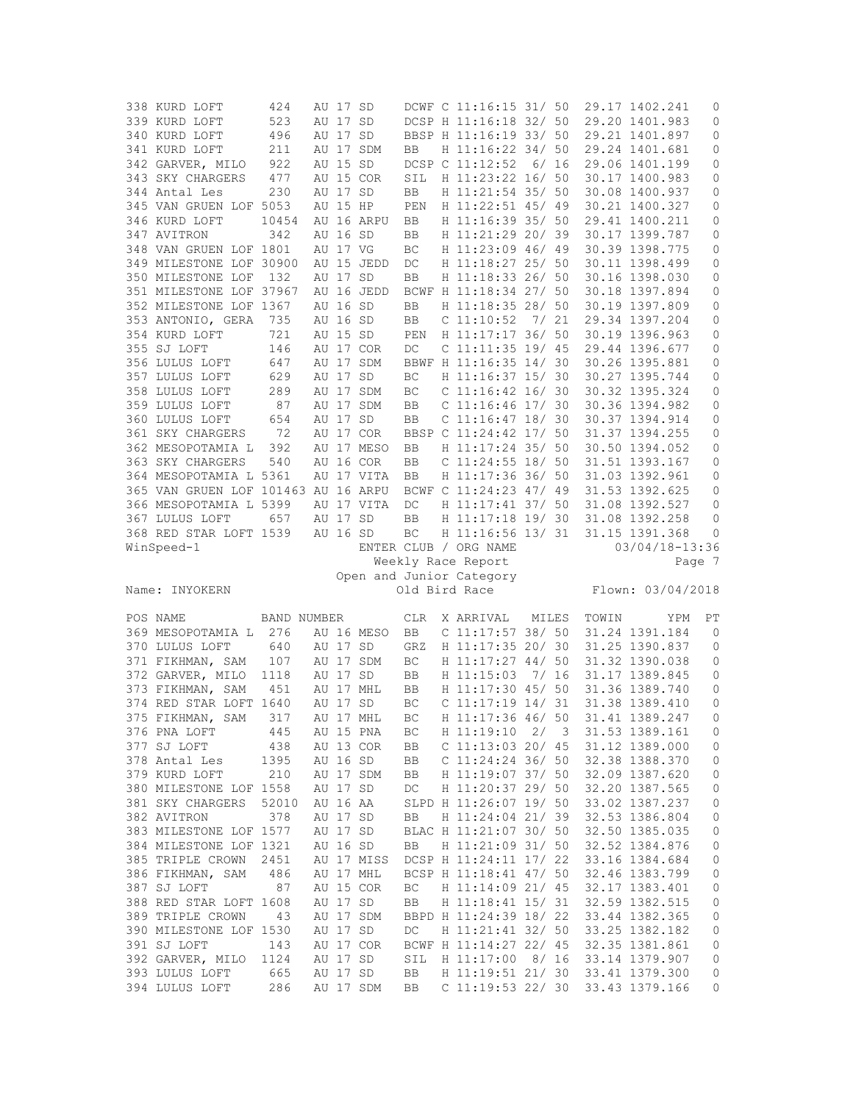| 338 KURD LOFT                       | 424         | AU 17 SD |            |           | DCWF C 11:16:15 31/ 50                   |      |       | 29.17 1402.241                   | 0              |
|-------------------------------------|-------------|----------|------------|-----------|------------------------------------------|------|-------|----------------------------------|----------------|
| 339 KURD LOFT                       | 523         | AU 17 SD |            |           | DCSP H 11:16:18 32/ 50                   |      |       | 29.20 1401.983                   | 0              |
| 340 KURD LOFT                       | 496         | AU 17 SD |            |           | BBSP H 11:16:19 33/ 50                   |      |       | 29.21 1401.897                   | 0              |
| 341 KURD LOFT                       | 211         |          | AU 17 SDM  | BB        | H 11:16:22 34/ 50                        |      |       | 29.24 1401.681                   | 0              |
| 342 GARVER, MILO                    | 922         | AU 15 SD |            |           | DCSP C 11:12:52 6/ 16                    |      |       | 29.06 1401.199                   | 0              |
| 343 SKY CHARGERS                    | 477         |          | AU 15 COR  | SIL       | H 11:23:22 16/ 50                        |      |       | 30.17 1400.983                   | $\circ$        |
| 344 Antal Les                       | 230         | AU 17 SD |            | BB        | H 11:21:54 35/ 50                        |      |       | 30.08 1400.937                   | 0              |
| 345 VAN GRUEN LOF 5053              |             | AU 15 HP |            | PEN       | H 11:22:51 45/ 49                        |      |       | 30.21 1400.327                   | 0              |
| 346 KURD LOFT                       | 10454       |          | AU 16 ARPU | BB        | H 11:16:39 35/ 50                        |      |       | 29.41 1400.211                   | 0              |
| 347 AVITRON                         |             | AU 16 SD |            |           | H 11:21:29 20/ 39                        |      |       | 30.17 1399.787                   |                |
| 348 VAN GRUEN LOF 1801              | 342         |          |            | BB        |                                          |      |       |                                  | 0              |
|                                     |             | AU 17 VG |            | BC        | H 11:23:09 46/ 49                        |      |       | 30.39 1398.775                   | $\mathbb O$    |
| 349 MILESTONE LOF 30900             |             |          | AU 15 JEDD | DC        | H 11:18:27 25/ 50                        |      |       | 30.11 1398.499                   | 0              |
| 350 MILESTONE LOF                   | 132         | AU 17 SD |            | BB        | H 11:18:33 26/ 50                        |      |       | 30.16 1398.030                   | 0              |
| 351 MILESTONE LOF 37967             |             |          | AU 16 JEDD |           | BCWF H 11:18:34 27/ 50                   |      |       | 30.18 1397.894                   | 0              |
| 352 MILESTONE LOF 1367              |             | AU 16 SD |            | BB        | H 11:18:35 28/ 50                        |      |       | 30.19 1397.809                   | 0              |
| 353 ANTONIO, GERA                   | 735         | AU 16 SD |            | BB        | $C$ 11:10:52 7/ 21                       |      |       | 29.34 1397.204                   | $\mathbb O$    |
| 354 KURD LOFT                       | 721         | AU 15 SD |            | PEN       | H 11:17:17 36/ 50                        |      |       | 30.19 1396.963                   | $\mathbb O$    |
| 355 SJ LOFT                         | 146         |          | AU 17 COR  | $DC$      | $C$ 11:11:35 19/45                       |      |       | 29.44 1396.677                   | 0              |
| 356 LULUS LOFT                      | 647         |          | AU 17 SDM  |           | BBWF H 11:16:35 14/ 30                   |      |       | 30.26 1395.881                   | 0              |
| 357 LULUS LOFT                      | 629         | AU 17 SD |            | ВC        | H 11:16:37 15/ 30                        |      |       | 30.27 1395.744                   | 0              |
| 358 LULUS LOFT                      | 289         |          | AU 17 SDM  | BC        | $C$ 11:16:42 16/30                       |      |       | 30.32 1395.324                   | $\mathbb O$    |
| 359 LULUS LOFT                      | 87          |          | AU 17 SDM  | BB        | $C$ 11:16:46 17/30                       |      |       | 30.36 1394.982                   | 0              |
| 360 LULUS LOFT                      | 654         | AU 17 SD |            | BB        | $C$ 11:16:47 18/30                       |      |       | 30.37 1394.914                   | $\circ$        |
| 361 SKY CHARGERS                    | 72          |          | AU 17 COR  |           | BBSP C 11:24:42 17/ 50                   |      |       | 31.37 1394.255                   | 0              |
| 362 MESOPOTAMIA L                   | 392         |          | AU 17 MESO | BB        | H 11:17:24 35/ 50                        |      |       | 30.50 1394.052                   | 0              |
| 363 SKY CHARGERS                    | 540         |          | AU 16 COR  |           | $C$ 11:24:55 18/ 50                      |      |       | 31.51 1393.167                   | $\circ$        |
|                                     |             |          |            | BB        |                                          |      |       |                                  |                |
| 364 MESOPOTAMIA L 5361              |             |          | AU 17 VITA | BB        | H 11:17:36 36/ 50                        |      |       | 31.03 1392.961                   | 0              |
| 365 VAN GRUEN LOF 101463 AU 16 ARPU |             |          |            |           | BCWF C 11:24:23 47/ 49                   |      |       | 31.53 1392.625                   | 0              |
| 366 MESOPOTAMIA L 5399              |             |          | AU 17 VITA | DC        | H 11:17:41 37/ 50                        |      |       | 31.08 1392.527                   | 0              |
| 367 LULUS LOFT                      | 657         | AU 17 SD |            | BB        | H 11:17:18 19/ 30                        |      |       | 31.08 1392.258                   | 0              |
| 368 RED STAR LOFT 1539              |             | AU 16 SD |            | BC        | H 11:16:56 13/ 31                        |      |       | 31.15 1391.368                   | 0              |
|                                     |             |          |            |           |                                          |      |       |                                  |                |
| WinSpeed-1                          |             |          |            |           | ENTER CLUB / ORG NAME                    |      |       | 03/04/18-13:36                   |                |
|                                     |             |          |            |           | Weekly Race Report                       |      |       |                                  | Page 7         |
|                                     |             |          |            |           | Open and Junior Category                 |      |       |                                  |                |
| Name: INYOKERN                      |             |          |            |           | Old Bird Race                            |      |       | Flown: 03/04/2018                |                |
|                                     |             |          |            |           |                                          |      |       |                                  |                |
| POS NAME                            | BAND NUMBER |          |            | CLR       | X ARRIVAL                                |      | MILES | TOWIN<br>YPM                     | PT             |
| 369 MESOPOTAMIA L                   | 276         |          | AU 16 MESO | <b>BB</b> |                                          |      |       | 31.24 1391.184                   | $\overline{0}$ |
| 370 LULUS LOFT                      | 640         | AU 17 SD |            | GRZ       | C 11:17:57 38/ 50<br>H 11:17:35 20/ 30   |      |       | 31.25 1390.837                   | 0              |
|                                     |             |          |            |           |                                          |      |       |                                  |                |
| 371 FIKHMAN, SAM                    | 107         |          | AU 17 SDM  | ВC        | H 11:17:27 44/ 50                        |      |       | 31.32 1390.038                   | 0              |
| 372 GARVER, MILO                    | 1118        | AU 17 SD |            | BB        | H 11:15:03                               | 7/16 |       | 31.17 1389.845                   | 0              |
| 373 FIKHMAN, SAM                    | 451         |          | AU 17 MHL  | BB        | H 11:17:30 45/ 50                        |      |       | 31.36 1389.740                   | 0              |
| 374 RED STAR LOFT 1640              |             | AU 17 SD |            | ВC        | C 11:17:19 14/ 31                        |      |       | 31.38 1389.410                   | 0              |
| 375 FIKHMAN, SAM                    | 317         |          | AU 17 MHL  | BC        | H 11:17:36 46/ 50                        |      |       | 31.41 1389.247                   | $\circ$        |
| 376 PNA LOFT                        | 445         |          | AU 15 PNA  | ВC        | H 11:19:10                               | 2/   | 3     | 31.53 1389.161                   | 0              |
| 377 SJ LOFT                         | 438         |          | AU 13 COR  | BB        | $C$ 11:13:03 20/ 45                      |      |       | 31.12 1389.000                   | 0              |
| 378 Antal Les                       | 1395        | AU 16 SD |            | BB        | C $11:24:24$ 36/50                       |      |       | 32.38 1388.370                   | 0              |
| 379 KURD LOFT                       | 210         |          | AU 17 SDM  | BB        | H 11:19:07 37/ 50                        |      |       | 32.09 1387.620                   | $\mathbb O$    |
| 380 MILESTONE LOF 1558              |             | AU 17 SD |            | DC        | H 11:20:37 29/ 50                        |      |       | 32.20 1387.565                   | 0              |
| 381 SKY CHARGERS                    | 52010       | AU 16 AA |            |           | SLPD H 11:26:07 19/ 50                   |      |       | 33.02 1387.237                   | 0              |
| 382 AVITRON                         | 378         | AU 17 SD |            | BB        | H 11:24:04 21/ 39                        |      |       | 32.53 1386.804                   | $\mathbb O$    |
| 383 MILESTONE LOF 1577              |             | AU 17 SD |            |           | BLAC H 11:21:07 30/ 50                   |      |       | 32.50 1385.035                   | $\mathbb O$    |
| 384 MILESTONE LOF 1321              |             | AU 16 SD |            | BB        | H 11:21:09 31/ 50                        |      |       | 32.52 1384.876                   | 0              |
| 385 TRIPLE CROWN                    | 2451        |          | AU 17 MISS |           | DCSP H 11:24:11 17/ 22                   |      |       | 33.16 1384.684                   | $\mathbb O$    |
| 386 FIKHMAN, SAM                    | 486         |          | AU 17 MHL  |           | BCSP H 11:18:41 47/ 50                   |      |       | 32.46 1383.799                   | 0              |
|                                     |             |          |            |           |                                          |      |       | 32.17 1383.401                   |                |
| 387 SJ LOFT                         | 87          |          | AU 15 COR  | BC        | H 11:14:09 21/ 45                        |      |       |                                  | $\mathbb O$    |
| 388 RED STAR LOFT 1608              |             | AU 17 SD |            | BB        | H 11:18:41 15/ 31                        |      |       | 32.59 1382.515                   | 0              |
| 389 TRIPLE CROWN                    | 43          |          | AU 17 SDM  |           | BBPD H 11:24:39 18/ 22                   |      |       | 33.44 1382.365                   | $\mathbb O$    |
| 390 MILESTONE LOF 1530              |             | AU 17 SD |            | DC        | H 11:21:41 32/ 50                        |      |       | 33.25 1382.182                   | 0              |
| 391 SJ LOFT                         | 143         |          | AU 17 COR  |           | BCWF H 11:14:27 22/ 45                   |      |       | 32.35 1381.861                   | 0              |
| 392 GARVER, MILO                    | 1124        | AU 17 SD |            | SIL       | H 11:17:00                               | 8/16 |       | 33.14 1379.907                   | $\mathbb O$    |
| 393 LULUS LOFT<br>394 LULUS LOFT    | 665<br>286  | AU 17 SD | AU 17 SDM  | BB<br>BB  | H 11:19:51 21/ 30<br>$C$ 11:19:53 22/ 30 |      |       | 33.41 1379.300<br>33.43 1379.166 | 0<br>0         |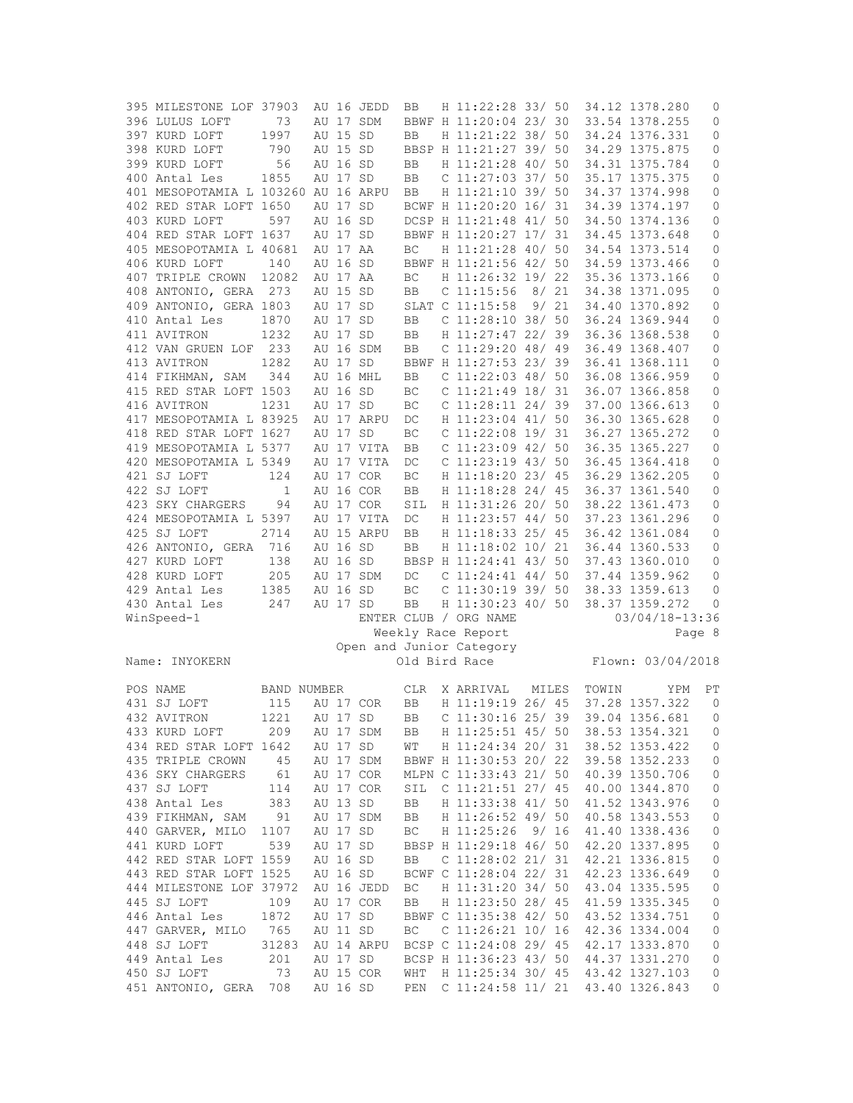| 395 MILESTONE LOF 37903             |                    |          | AU 16 JEDD | BB         | H 11:22:28 33/ 50        |       |      |       | 34.12 1378.280     | 0            |
|-------------------------------------|--------------------|----------|------------|------------|--------------------------|-------|------|-------|--------------------|--------------|
| 396 LULUS LOFT                      | 73                 |          | AU 17 SDM  |            | BBWF H 11:20:04 23/ 30   |       |      |       | 33.54 1378.255     | 0            |
| 397 KURD LOFT                       | 1997               | AU 15 SD |            | BB         | H 11:21:22 38/ 50        |       |      |       | 34.24 1376.331     | 0            |
| 398 KURD LOFT                       | 790                | AU 15 SD |            |            | BBSP H 11:21:27 39/ 50   |       |      |       | 34.29 1375.875     | 0            |
| 399 KURD LOFT                       | 56                 | AU 16 SD |            | BB         | H 11:21:28 40/ 50        |       |      |       | 34.31 1375.784     | 0            |
| 400 Antal Les                       | 1855               | AU 17 SD |            | <b>BB</b>  | $C$ 11:27:03 37/ 50      |       |      |       | 35.17 1375.375     | 0            |
| 401 MESOPOTAMIA L 103260 AU 16 ARPU |                    |          |            | BB         | H 11:21:10 39/ 50        |       |      |       | 34.37 1374.998     | 0            |
| 402 RED STAR LOFT 1650              |                    | AU 17 SD |            |            | BCWF H 11:20:20 16/ 31   |       |      |       | 34.39 1374.197     |              |
|                                     |                    |          |            |            |                          |       |      |       |                    | 0            |
| 403 KURD LOFT                       | 597                | AU 16 SD |            |            | DCSP H 11:21:48 41/ 50   |       |      |       | 34.50 1374.136     | 0            |
| 404 RED STAR LOFT 1637              |                    | AU 17 SD |            |            | BBWF H 11:20:27 17/ 31   |       |      |       | 34.45 1373.648     | 0            |
| 405 MESOPOTAMIA L 40681             |                    | AU 17 AA |            | BC         | H 11:21:28 40/ 50        |       |      |       | 34.54 1373.514     | 0            |
| 406 KURD LOFT                       | 140                | AU 16 SD |            |            | BBWF H 11:21:56 42/ 50   |       |      |       | 34.59 1373.466     | 0            |
| 407 TRIPLE CROWN                    | 12082              | AU 17 AA |            | BC         | H 11:26:32 19/ 22        |       |      |       | 35.36 1373.166     | 0            |
| 408 ANTONIO, GERA 273               |                    | AU 15 SD |            | BB         | $C$ 11:15:56             |       | 8/21 |       | 34.38 1371.095     | $\mathbb O$  |
| 409 ANTONIO, GERA 1803              |                    | AU 17 SD |            |            | SLAT C 11:15:58          |       | 9/21 |       | 34.40 1370.892     | 0            |
| 410 Antal Les                       | 1870               | AU 17 SD |            | BB         | $C$ 11:28:10 38/ 50      |       |      |       | 36.24 1369.944     | 0            |
| 411 AVITRON                         | 1232               | AU 17 SD |            | BB         | H 11:27:47 22/ 39        |       |      |       | 36.36 1368.538     | $\mathbb O$  |
| 412 VAN GRUEN LOF                   | 233                |          | AU 16 SDM  | BB         | $C$ 11:29:20 48/49       |       |      |       | 36.49 1368.407     | 0            |
| 413 AVITRON                         | 1282               | AU 17 SD |            |            | BBWF H 11:27:53 23/39    |       |      |       | 36.41 1368.111     | 0            |
| 414 FIKHMAN, SAM                    | 344                |          | AU 16 MHL  | BB         | $C$ 11:22:03 48/ 50      |       |      |       | 36.08 1366.959     | 0            |
| 415 RED STAR LOFT 1503              |                    | AU 16 SD |            |            | $C$ 11:21:49 18/31       |       |      |       |                    | $\mathbb O$  |
|                                     |                    |          |            | BC         |                          |       |      |       | 36.07 1366.858     |              |
| 416 AVITRON                         | 1231               | AU 17 SD |            | BC         | $C$ 11:28:11 24/39       |       |      |       | 37.00 1366.613     | 0            |
| 417 MESOPOTAMIA L 83925             |                    |          | AU 17 ARPU | DC         | H 11:23:04 41/ 50        |       |      |       | 36.30 1365.628     | $\circ$      |
| 418 RED STAR LOFT 1627              |                    | AU 17 SD |            | BC         | $C$ 11:22:08 19/31       |       |      |       | 36.27 1365.272     | 0            |
| 419 MESOPOTAMIA L 5377              |                    |          | AU 17 VITA | BB         | $C$ 11:23:09 42/ 50      |       |      |       | 36.35 1365.227     | 0            |
| 420 MESOPOTAMIA L 5349              |                    |          | AU 17 VITA | DC         | $C$ 11:23:19 43/ 50      |       |      |       | 36.45 1364.418     | $\circ$      |
| 421 SJ LOFT                         | 124                |          | AU 17 COR  | BC         | H 11:18:20 23/ 45        |       |      |       | 36.29 1362.205     | 0            |
| 422 SJ LOFT                         | $\mathbf{1}$       |          | AU 16 COR  | BB         | H 11:18:28 24/ 45        |       |      |       | 36.37 1361.540     | 0            |
| 423 SKY CHARGERS                    | 94                 |          | AU 17 COR  | SIL        | H 11:31:26 20/ 50        |       |      |       | 38.22 1361.473     | $\mathbb O$  |
| 424 MESOPOTAMIA L 5397              |                    |          | AU 17 VITA | $DC$       | H 11:23:57 44/ 50        |       |      |       | 37.23 1361.296     | 0            |
| 425 SJ LOFT                         | 2714               |          | AU 15 ARPU | BB         | H 11:18:33 25/ 45        |       |      |       | 36.42 1361.084     | $\mathbb O$  |
|                                     |                    |          |            |            |                          |       |      |       |                    |              |
| 426 ANTONIO, GERA                   | 716                | AU 16 SD |            | BB         | H 11:18:02 10/ 21        |       |      |       | 36.44 1360.533     | 0            |
| 427 KURD LOFT                       | 138                | AU 16 SD |            |            | BBSP H 11:24:41 43/ 50   |       |      |       | 37.43 1360.010     | 0            |
|                                     |                    |          |            |            |                          |       |      |       |                    |              |
| 428 KURD LOFT                       | 205                |          | AU 17 SDM  | DC         | $C$ 11:24:41 44/ 50      |       |      |       | 37.44 1359.962     | 0            |
| 429 Antal Les                       | 1385               | AU 16 SD |            | BC         | $C$ 11:30:19 39/ 50      |       |      |       | 38.33 1359.613     | 0            |
| 430 Antal Les                       | 247                | AU 17 SD |            | <b>BB</b>  | H 11:30:23 40/ 50        |       |      |       | 38.37 1359.272     | $\mathbf{0}$ |
| WinSpeed-1                          |                    |          |            |            | ENTER CLUB / ORG NAME    |       |      |       | $03/04/18 - 13:36$ |              |
|                                     |                    |          |            |            | Weekly Race Report       |       |      |       |                    | Page 8       |
|                                     |                    |          |            |            | Open and Junior Category |       |      |       |                    |              |
| Name: INYOKERN                      |                    |          |            |            | Old Bird Race            |       |      |       | Flown: 03/04/2018  |              |
|                                     |                    |          |            |            |                          |       |      |       |                    |              |
| POS NAME                            | <b>BAND NUMBER</b> |          |            | <b>CLR</b> | X ARRIVAL                | MILES |      | TOWIN | YPM                | РT           |
|                                     |                    |          |            |            |                          |       |      |       |                    | $\mathbf{0}$ |
| 431 SJ LOFT                         | 115                |          | AU 17 COR  | BB         | H 11:19:19 26/ 45        |       |      |       | 37.28 1357.322     |              |
| 432 AVITRON                         | 1221               | AU 17 SD |            | BB         | $C$ 11:30:16 25/39       |       |      |       | 39.04 1356.681     | $\mathbf{0}$ |
| 433 KURD LOFT                       | 209                |          | AU 17 SDM  | BB         | H 11:25:51 45/ 50        |       |      |       | 38.53 1354.321     | 0            |
| 434 RED STAR LOFT 1642              |                    | AU 17 SD |            | WΤ         | H 11:24:34 20/ 31        |       |      |       | 38.52 1353.422     | 0            |
| 435 TRIPLE CROWN                    | 45                 |          | AU 17 SDM  |            | BBWF H 11:30:53 20/ 22   |       |      |       | 39.58 1352.233     | 0            |
| 436 SKY CHARGERS                    | 61                 |          | AU 17 COR  |            | MLPN C 11:33:43 21/ 50   |       |      |       | 40.39 1350.706     | 0            |
| 437 SJ LOFT                         | 114                |          | AU 17 COR  | SIL        | C 11:21:51 27/ 45        |       |      |       | 40.00 1344.870     | $\mathbb O$  |
| 438 Antal Les                       | 383                | AU 13 SD |            | BB         | H 11:33:38 41/ 50        |       |      |       | 41.52 1343.976     | 0            |
| 439 FIKHMAN, SAM                    | 91                 |          | AU 17 SDM  | BB         | H 11:26:52 49/ 50        |       |      |       | 40.58 1343.553     | $\mathbb O$  |
| 440 GARVER, MILO                    | 1107               |          |            | ВC         |                          | 9/ 16 |      |       |                    |              |
|                                     |                    | AU 17 SD |            |            | H 11:25:26               |       |      |       | 41.40 1338.436     | $\mathbf 0$  |
| 441 KURD LOFT                       | 539                | AU 17 SD |            |            | BBSP H 11:29:18 46/ 50   |       |      |       | 42.20 1337.895     | 0            |
| 442 RED STAR LOFT 1559              |                    | AU 16 SD |            | BB         | C $11:28:02$ 21/31       |       |      |       | 42.21 1336.815     | $\mathbb O$  |
| 443 RED STAR LOFT 1525              |                    | AU 16 SD |            |            | BCWF C 11:28:04 22/ 31   |       |      |       | 42.23 1336.649     | 0            |
| 444 MILESTONE LOF 37972             |                    |          | AU 16 JEDD | BC         | H 11:31:20 34/ 50        |       |      |       | 43.04 1335.595     | $\mathbb O$  |
| 445 SJ LOFT                         | 109                |          | AU 17 COR  | BB         | H 11:23:50 28/ 45        |       |      |       | 41.59 1335.345     | $\mathbb O$  |
| 446 Antal Les                       | 1872               | AU 17 SD |            |            | BBWF C 11:35:38 42/ 50   |       |      |       | 43.52 1334.751     | $\mathbb O$  |
| 447 GARVER, MILO                    | 765                | AU 11 SD |            | BC         | $C$ 11:26:21 10/ 16      |       |      |       | 42.36 1334.004     | 0            |
| 448 SJ LOFT                         | 31283              |          | AU 14 ARPU |            | BCSP C 11:24:08 29/ 45   |       |      |       | 42.17 1333.870     | 0            |
| 449 Antal Les                       | 201                | AU 17 SD |            |            | BCSP H 11:36:23 43/ 50   |       |      |       | 44.37 1331.270     | 0            |
| 450 SJ LOFT                         | 73                 |          | AU 15 COR  | WHT        | H 11:25:34 30/ 45        |       |      |       | 43.42 1327.103     | 0            |